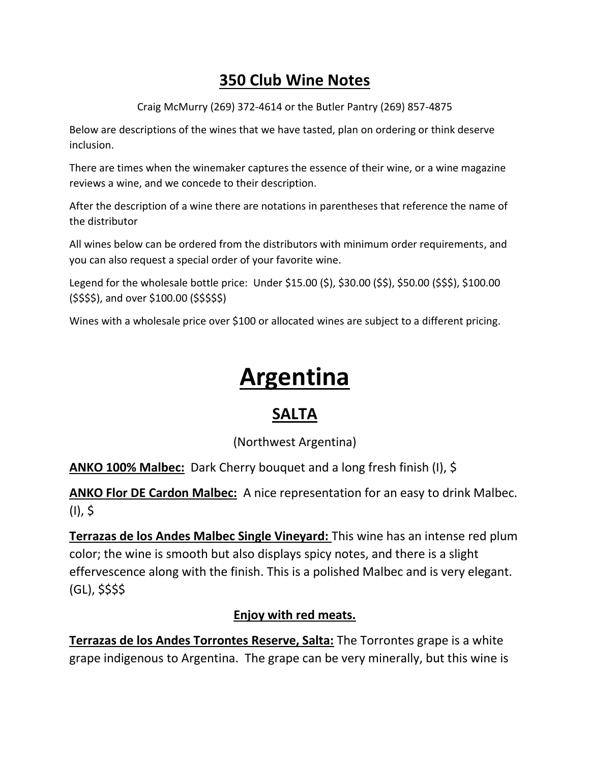# **350 Club Wine Notes**

Craig McMurry (269) 372-4614 or the Butler Pantry (269) 857-4875

Below are descriptions of the wines that we have tasted, plan on ordering or think deserve inclusion.

There are times when the winemaker captures the essence of their wine, or a wine magazine reviews a wine, and we concede to their description.

After the description of a wine there are notations in parentheses that reference the name of the distributor

All wines below can be ordered from the distributors with minimum order requirements, and you can also request a special order of your favorite wine.

Legend for the wholesale bottle price: Under \$15.00 (\$), \$30.00 (\$\$), \$50.00 (\$\$\$), \$100.00 (\$\$\$\$), and over \$100.00 (\$\$\$\$\$)

Wines with a wholesale price over \$100 or allocated wines are subject to a different pricing.

# **Argentina**

# **SALTA**

(Northwest Argentina)

**ANKO 100% Malbec:** Dark Cherry bouquet and a long fresh finish (I), \$

**ANKO Flor DE Cardon Malbec:** A nice representation for an easy to drink Malbec. (I), \$

**Terrazas de los Andes Malbec Single Vineyard:** This wine has an intense red plum color; the wine is smooth but also displays spicy notes, and there is a slight effervescence along with the finish. This is a polished Malbec and is very elegant. (GL), \$\$\$\$

#### **Enjoy with red meats.**

**Terrazas de los Andes Torrontes Reserve, Salta:** The Torrontes grape is a white grape indigenous to Argentina. The grape can be very minerally, but this wine is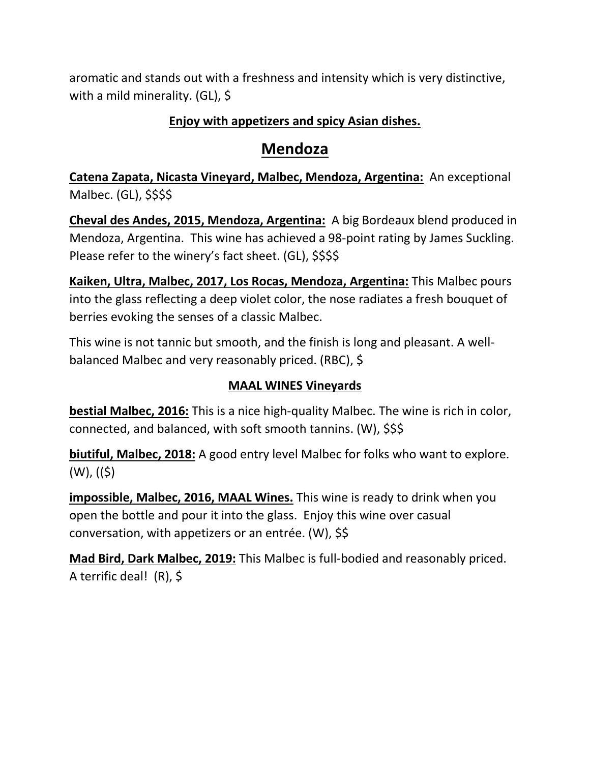aromatic and stands out with a freshness and intensity which is very distinctive, with a mild minerality. (GL), \$

#### **Enjoy with appetizers and spicy Asian dishes.**

## **Mendoza**

**Catena Zapata, Nicasta Vineyard, Malbec, Mendoza, Argentina:** An exceptional Malbec. (GL), \$\$\$\$

**Cheval des Andes, 2015, Mendoza, Argentina:** A big Bordeaux blend produced in Mendoza, Argentina. This wine has achieved a 98-point rating by James Suckling. Please refer to the winery's fact sheet. (GL), \$\$\$\$

**Kaiken, Ultra, Malbec, 2017, Los Rocas, Mendoza, Argentina:** This Malbec pours into the glass reflecting a deep violet color, the nose radiates a fresh bouquet of berries evoking the senses of a classic Malbec.

This wine is not tannic but smooth, and the finish is long and pleasant. A wellbalanced Malbec and very reasonably priced. (RBC), \$

#### **MAAL WINES Vineyards**

**bestial Malbec, 2016:** This is a nice high-quality Malbec. The wine is rich in color, connected, and balanced, with soft smooth tannins. (W), \$\$\$

**biutiful, Malbec, 2018:** A good entry level Malbec for folks who want to explore.  $(W)$ ,  $((\xi))$ 

**impossible, Malbec, 2016, MAAL Wines.** This wine is ready to drink when you open the bottle and pour it into the glass. Enjoy this wine over casual conversation, with appetizers or an entrée. (W), \$\$

**Mad Bird, Dark Malbec, 2019:** This Malbec is full-bodied and reasonably priced. A terrific deal! (R), \$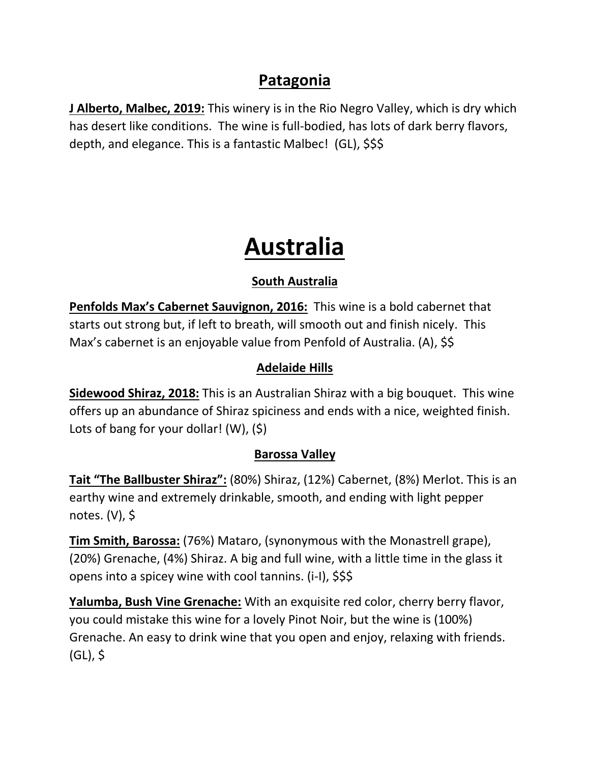# **Patagonia**

**J Alberto, Malbec, 2019:** This winery is in the Rio Negro Valley, which is dry which has desert like conditions. The wine is full-bodied, has lots of dark berry flavors, depth, and elegance. This is a fantastic Malbec! (GL), \$\$\$

# **Australia**

### **South Australia**

**Penfolds Max's Cabernet Sauvignon, 2016:** This wine is a bold cabernet that starts out strong but, if left to breath, will smooth out and finish nicely. This Max's cabernet is an enjoyable value from Penfold of Australia. (A), \$\$

### **Adelaide Hills**

**Sidewood Shiraz, 2018:** This is an Australian Shiraz with a big bouquet. This wine offers up an abundance of Shiraz spiciness and ends with a nice, weighted finish. Lots of bang for your dollar! (W), (\$)

#### **Barossa Valley**

**Tait "The Ballbuster Shiraz":** (80%) Shiraz, (12%) Cabernet, (8%) Merlot. This is an earthy wine and extremely drinkable, smooth, and ending with light pepper notes. (V), \$

**Tim Smith, Barossa:** (76%) Mataro, (synonymous with the Monastrell grape), (20%) Grenache, (4%) Shiraz. A big and full wine, with a little time in the glass it opens into a spicey wine with cool tannins. (i-I), \$\$\$

**Yalumba, Bush Vine Grenache:** With an exquisite red color, cherry berry flavor, you could mistake this wine for a lovely Pinot Noir, but the wine is (100%) Grenache. An easy to drink wine that you open and enjoy, relaxing with friends.  $(GL),$  \$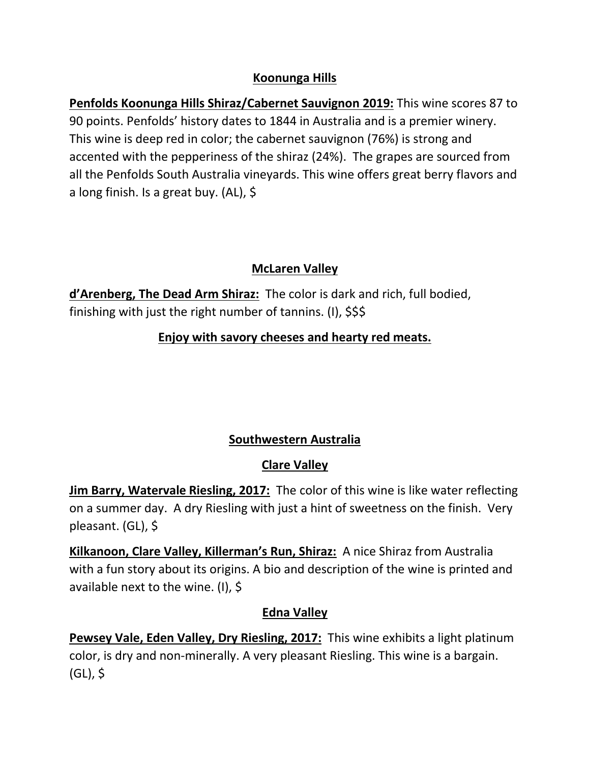#### **Koonunga Hills**

**Penfolds Koonunga Hills Shiraz/Cabernet Sauvignon 2019:** This wine scores 87 to 90 points. Penfolds' history dates to 1844 in Australia and is a premier winery. This wine is deep red in color; the cabernet sauvignon (76%) is strong and accented with the pepperiness of the shiraz (24%). The grapes are sourced from all the Penfolds South Australia vineyards. This wine offers great berry flavors and a long finish. Is a great buy. (AL), \$

#### **McLaren Valley**

**d'Arenberg, The Dead Arm Shiraz:** The color is dark and rich, full bodied, finishing with just the right number of tannins. (I), \$\$\$

#### **Enjoy with savory cheeses and hearty red meats.**

#### **Southwestern Australia**

## **Clare Valley**

**Jim Barry, Watervale Riesling, 2017:** The color of this wine is like water reflecting on a summer day. A dry Riesling with just a hint of sweetness on the finish. Very pleasant. (GL), \$

**Kilkanoon, Clare Valley, Killerman's Run, Shiraz:** A nice Shiraz from Australia with a fun story about its origins. A bio and description of the wine is printed and available next to the wine. (I), \$

#### **Edna Valley**

**Pewsey Vale, Eden Valley, Dry Riesling, 2017:** This wine exhibits a light platinum color, is dry and non-minerally. A very pleasant Riesling. This wine is a bargain.  $(GL),$ \$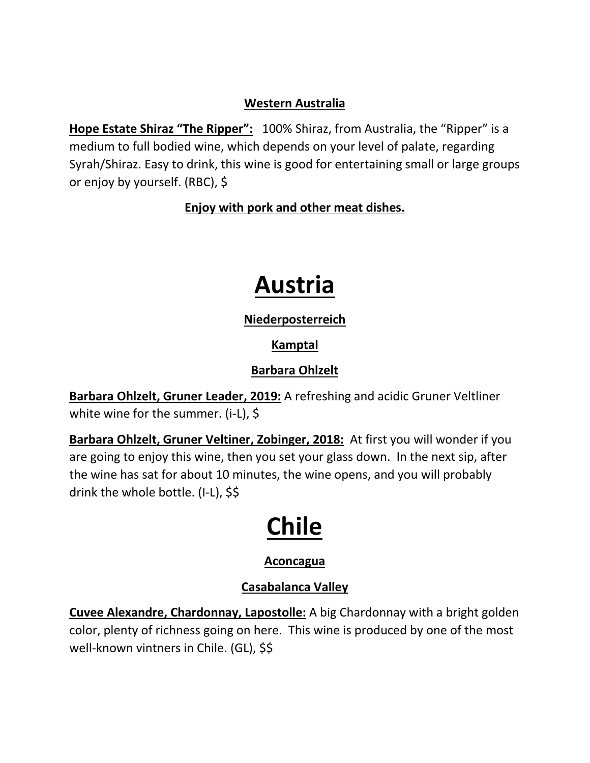#### **Western Australia**

**Hope Estate Shiraz "The Ripper":** 100% Shiraz, from Australia, the "Ripper" is a medium to full bodied wine, which depends on your level of palate, regarding Syrah/Shiraz. Easy to drink, this wine is good for entertaining small or large groups or enjoy by yourself. (RBC), \$

#### **Enjoy with pork and other meat dishes.**

# **Austria**

#### **Niederposterreich**

### **Kamptal**

## **Barbara Ohlzelt**

**Barbara Ohlzelt, Gruner Leader, 2019:** A refreshing and acidic Gruner Veltliner white wine for the summer. (i-L), \$

**Barbara Ohlzelt, Gruner Veltiner, Zobinger, 2018:** At first you will wonder if you are going to enjoy this wine, then you set your glass down. In the next sip, after the wine has sat for about 10 minutes, the wine opens, and you will probably drink the whole bottle. (I-L), \$\$

# **Chile**

## **Aconcagua**

## **Casabalanca Valley**

**Cuvee Alexandre, Chardonnay, Lapostolle:** A big Chardonnay with a bright golden color, plenty of richness going on here. This wine is produced by one of the most well-known vintners in Chile. (GL), \$\$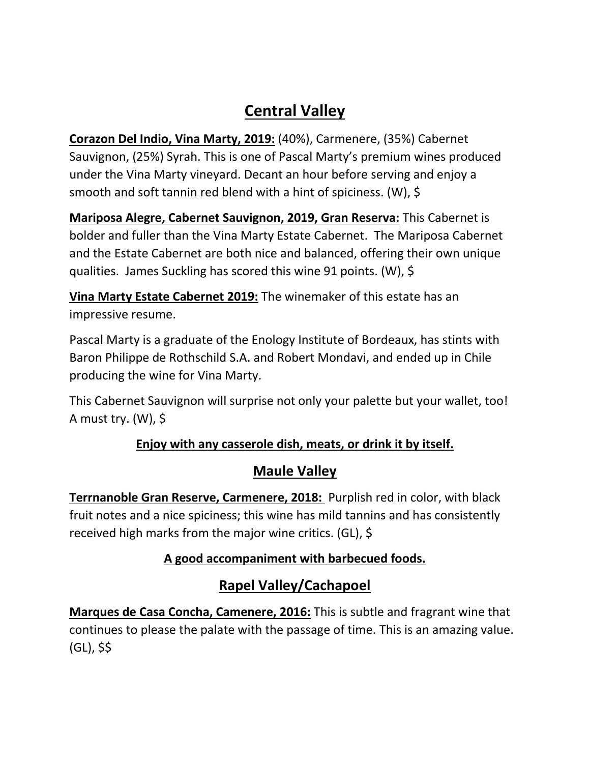# **Central Valley**

**Corazon Del Indio, Vina Marty, 2019:** (40%), Carmenere, (35%) Cabernet Sauvignon, (25%) Syrah. This is one of Pascal Marty's premium wines produced under the Vina Marty vineyard. Decant an hour before serving and enjoy a smooth and soft tannin red blend with a hint of spiciness. (W), \$

**Mariposa Alegre, Cabernet Sauvignon, 2019, Gran Reserva:** This Cabernet is bolder and fuller than the Vina Marty Estate Cabernet. The Mariposa Cabernet and the Estate Cabernet are both nice and balanced, offering their own unique qualities. James Suckling has scored this wine 91 points. (W), \$

**Vina Marty Estate Cabernet 2019:** The winemaker of this estate has an impressive resume.

Pascal Marty is a graduate of the Enology Institute of Bordeaux, has stints with Baron Philippe de Rothschild S.A. and Robert Mondavi, and ended up in Chile producing the wine for Vina Marty.

This Cabernet Sauvignon will surprise not only your palette but your wallet, too! A must try. (W), \$

## **Enjoy with any casserole dish, meats, or drink it by itself.**

## **Maule Valley**

**Terrnanoble Gran Reserve, Carmenere, 2018:** Purplish red in color, with black fruit notes and a nice spiciness; this wine has mild tannins and has consistently received high marks from the major wine critics. (GL), \$

## **A good accompaniment with barbecued foods.**

# **Rapel Valley/Cachapoel**

**Marques de Casa Concha, Camenere, 2016:** This is subtle and fragrant wine that continues to please the palate with the passage of time. This is an amazing value. (GL), \$\$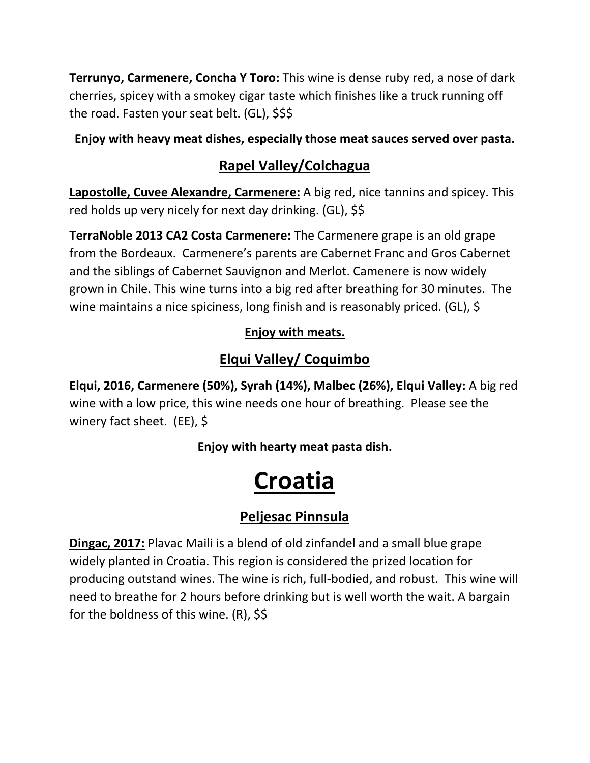**Terrunyo, Carmenere, Concha Y Toro:** This wine is dense ruby red, a nose of dark cherries, spicey with a smokey cigar taste which finishes like a truck running off the road. Fasten your seat belt. (GL), \$\$\$

#### **Enjoy with heavy meat dishes, especially those meat sauces served over pasta.**

## **Rapel Valley/Colchagua**

**Lapostolle, Cuvee Alexandre, Carmenere:** A big red, nice tannins and spicey. This red holds up very nicely for next day drinking. (GL), \$\$

**TerraNoble 2013 CA2 Costa Carmenere:** The Carmenere grape is an old grape from the Bordeaux. Carmenere's parents are Cabernet Franc and Gros Cabernet and the siblings of Cabernet Sauvignon and Merlot. Camenere is now widely grown in Chile. This wine turns into a big red after breathing for 30 minutes. The wine maintains a nice spiciness, long finish and is reasonably priced. (GL), \$

## **Enjoy with meats.**

# **Elqui Valley/ Coquimbo**

**Elqui, 2016, Carmenere (50%), Syrah (14%), Malbec (26%), Elqui Valley:** A big red wine with a low price, this wine needs one hour of breathing. Please see the winery fact sheet. (EE), \$

**Enjoy with hearty meat pasta dish.**

# **Croatia**

# **Peljesac Pinnsula**

**Dingac, 2017:** Plavac Maili is a blend of old zinfandel and a small blue grape widely planted in Croatia. This region is considered the prized location for producing outstand wines. The wine is rich, full-bodied, and robust. This wine will need to breathe for 2 hours before drinking but is well worth the wait. A bargain for the boldness of this wine. (R), \$\$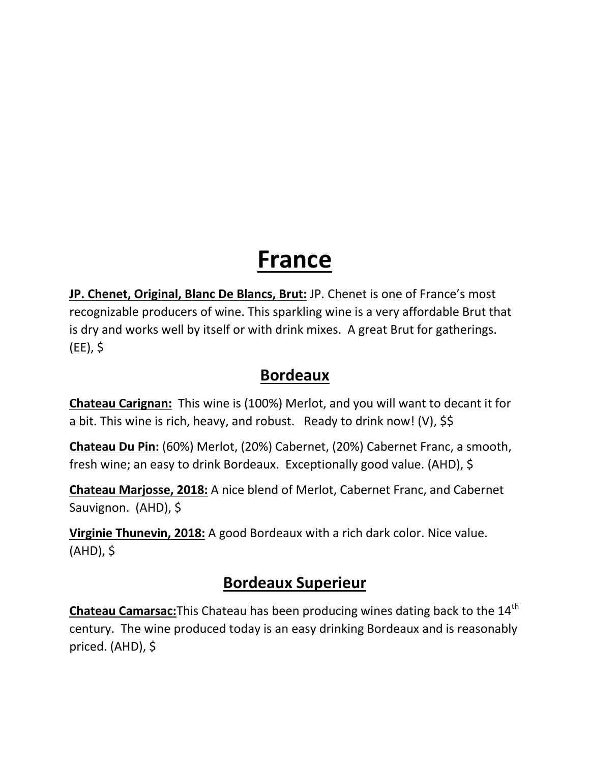# **France**

**JP. Chenet, Original, Blanc De Blancs, Brut:** JP. Chenet is one of France's most recognizable producers of wine. This sparkling wine is a very affordable Brut that is dry and works well by itself or with drink mixes. A great Brut for gatherings. (EE), \$

# **Bordeaux**

**Chateau Carignan:** This wine is (100%) Merlot, and you will want to decant it for a bit. This wine is rich, heavy, and robust. Ready to drink now! (V), \$\$

**Chateau Du Pin:** (60%) Merlot, (20%) Cabernet, (20%) Cabernet Franc, a smooth, fresh wine; an easy to drink Bordeaux. Exceptionally good value. (AHD), \$

**Chateau Marjosse, 2018:** A nice blend of Merlot, Cabernet Franc, and Cabernet Sauvignon. (AHD), \$

**Virginie Thunevin, 2018:** A good Bordeaux with a rich dark color. Nice value. (AHD), \$

# **Bordeaux Superieur**

**Chateau Camarsac:**This Chateau has been producing wines dating back to the 14<sup>th</sup> century. The wine produced today is an easy drinking Bordeaux and is reasonably priced. (AHD), \$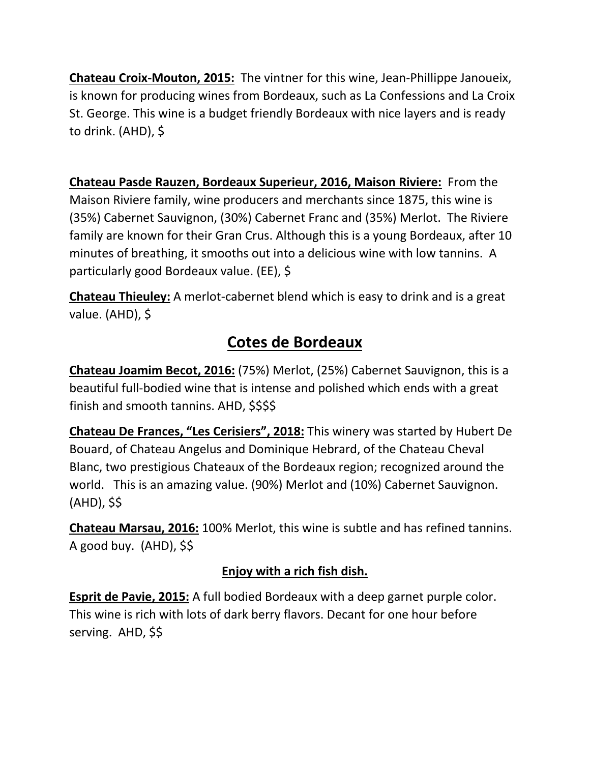**Chateau Croix-Mouton, 2015:** The vintner for this wine, Jean-Phillippe Janoueix, is known for producing wines from Bordeaux, such as La Confessions and La Croix St. George. This wine is a budget friendly Bordeaux with nice layers and is ready to drink. (AHD), \$

**Chateau Pasde Rauzen, Bordeaux Superieur, 2016, Maison Riviere:** From the Maison Riviere family, wine producers and merchants since 1875, this wine is (35%) Cabernet Sauvignon, (30%) Cabernet Franc and (35%) Merlot. The Riviere family are known for their Gran Crus. Although this is a young Bordeaux, after 10 minutes of breathing, it smooths out into a delicious wine with low tannins. A particularly good Bordeaux value. (EE), \$

**Chateau Thieuley:** A merlot-cabernet blend which is easy to drink and is a great value. (AHD), \$

# **Cotes de Bordeaux**

**Chateau Joamim Becot, 2016:** (75%) Merlot, (25%) Cabernet Sauvignon, this is a beautiful full-bodied wine that is intense and polished which ends with a great finish and smooth tannins. AHD, \$\$\$\$

**Chateau De Frances, "Les Cerisiers", 2018:** This winery was started by Hubert De Bouard, of Chateau Angelus and Dominique Hebrard, of the Chateau Cheval Blanc, two prestigious Chateaux of the Bordeaux region; recognized around the world. This is an amazing value. (90%) Merlot and (10%) Cabernet Sauvignon. (AHD), \$\$

**Chateau Marsau, 2016:** 100% Merlot, this wine is subtle and has refined tannins. A good buy. (AHD), \$\$

## **Enjoy with a rich fish dish.**

**Esprit de Pavie, 2015:** A full bodied Bordeaux with a deep garnet purple color. This wine is rich with lots of dark berry flavors. Decant for one hour before serving. AHD, \$\$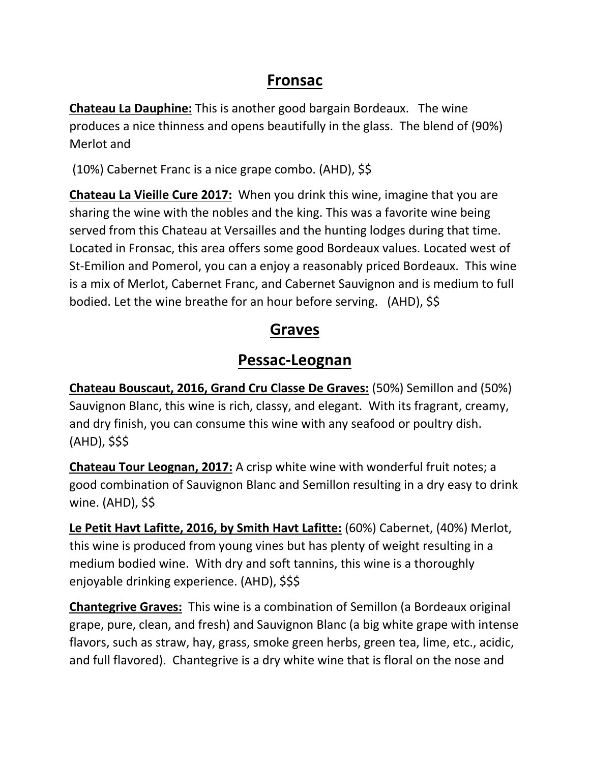# **Fronsac**

**Chateau La Dauphine:** This is another good bargain Bordeaux. The wine produces a nice thinness and opens beautifully in the glass. The blend of (90%) Merlot and

(10%) Cabernet Franc is a nice grape combo. (AHD), \$\$

**Chateau La Vieille Cure 2017:** When you drink this wine, imagine that you are sharing the wine with the nobles and the king. This was a favorite wine being served from this Chateau at Versailles and the hunting lodges during that time. Located in Fronsac, this area offers some good Bordeaux values. Located west of St-Emilion and Pomerol, you can a enjoy a reasonably priced Bordeaux. This wine is a mix of Merlot, Cabernet Franc, and Cabernet Sauvignon and is medium to full bodied. Let the wine breathe for an hour before serving. (AHD), \$\$

# **Graves**

# **Pessac-Leognan**

**Chateau Bouscaut, 2016, Grand Cru Classe De Graves:** (50%) Semillon and (50%) Sauvignon Blanc, this wine is rich, classy, and elegant. With its fragrant, creamy, and dry finish, you can consume this wine with any seafood or poultry dish. (AHD), \$\$\$

**Chateau Tour Leognan, 2017:** A crisp white wine with wonderful fruit notes; a good combination of Sauvignon Blanc and Semillon resulting in a dry easy to drink wine. (AHD), \$\$

**Le Petit Havt Lafitte, 2016, by Smith Havt Lafitte:** (60%) Cabernet, (40%) Merlot, this wine is produced from young vines but has plenty of weight resulting in a medium bodied wine. With dry and soft tannins, this wine is a thoroughly enjoyable drinking experience. (AHD), \$\$\$

**Chantegrive Graves:** This wine is a combination of Semillon (a Bordeaux original grape, pure, clean, and fresh) and Sauvignon Blanc (a big white grape with intense flavors, such as straw, hay, grass, smoke green herbs, green tea, lime, etc., acidic, and full flavored). Chantegrive is a dry white wine that is floral on the nose and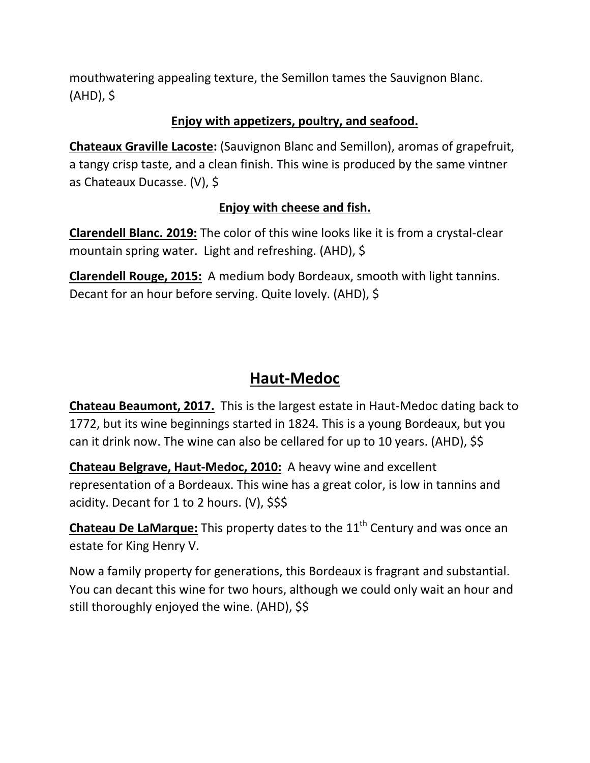mouthwatering appealing texture, the Semillon tames the Sauvignon Blanc. (AHD), \$

#### **Enjoy with appetizers, poultry, and seafood.**

**Chateaux Graville Lacoste:** (Sauvignon Blanc and Semillon), aromas of grapefruit, a tangy crisp taste, and a clean finish. This wine is produced by the same vintner as Chateaux Ducasse. (V), \$

#### **Enjoy with cheese and fish.**

**Clarendell Blanc. 2019:** The color of this wine looks like it is from a crystal-clear mountain spring water. Light and refreshing. (AHD), \$

**Clarendell Rouge, 2015:** A medium body Bordeaux, smooth with light tannins. Decant for an hour before serving. Quite lovely. (AHD), \$

# **Haut-Medoc**

**Chateau Beaumont, 2017.** This is the largest estate in Haut-Medoc dating back to 1772, but its wine beginnings started in 1824. This is a young Bordeaux, but you can it drink now. The wine can also be cellared for up to 10 years. (AHD), \$\$

**Chateau Belgrave, Haut-Medoc, 2010:** A heavy wine and excellent representation of a Bordeaux. This wine has a great color, is low in tannins and acidity. Decant for 1 to 2 hours. (V), \$\$\$

**Chateau De LaMarque:** This property dates to the 11<sup>th</sup> Century and was once an estate for King Henry V.

Now a family property for generations, this Bordeaux is fragrant and substantial. You can decant this wine for two hours, although we could only wait an hour and still thoroughly enjoyed the wine. (AHD), \$\$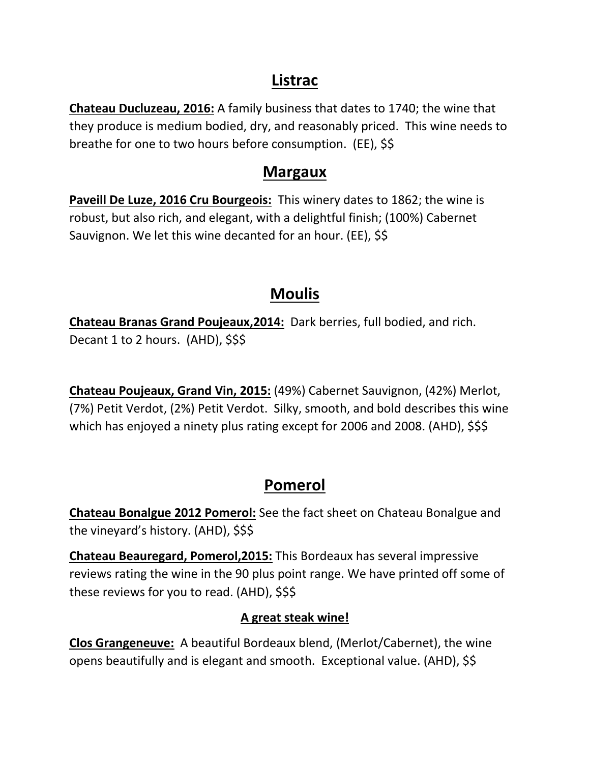## **Listrac**

**Chateau Ducluzeau, 2016:** A family business that dates to 1740; the wine that they produce is medium bodied, dry, and reasonably priced. This wine needs to breathe for one to two hours before consumption. (EE), \$\$

## **Margaux**

**Paveill De Luze, 2016 Cru Bourgeois:** This winery dates to 1862; the wine is robust, but also rich, and elegant, with a delightful finish; (100%) Cabernet Sauvignon. We let this wine decanted for an hour. (EE), \$\$

# **Moulis**

**Chateau Branas Grand Poujeaux,2014:** Dark berries, full bodied, and rich. Decant 1 to 2 hours. (AHD), \$\$\$

**Chateau Poujeaux, Grand Vin, 2015:** (49%) Cabernet Sauvignon, (42%) Merlot, (7%) Petit Verdot, (2%) Petit Verdot. Silky, smooth, and bold describes this wine which has enjoyed a ninety plus rating except for 2006 and 2008. (AHD), \$\$\$

# **Pomerol**

**Chateau Bonalgue 2012 Pomerol:** See the fact sheet on Chateau Bonalgue and the vineyard's history. (AHD), \$\$\$

**Chateau Beauregard, Pomerol,2015:** This Bordeaux has several impressive reviews rating the wine in the 90 plus point range. We have printed off some of these reviews for you to read. (AHD), \$\$\$

## **A great steak wine!**

**Clos Grangeneuve:** A beautiful Bordeaux blend, (Merlot/Cabernet), the wine opens beautifully and is elegant and smooth. Exceptional value. (AHD), \$\$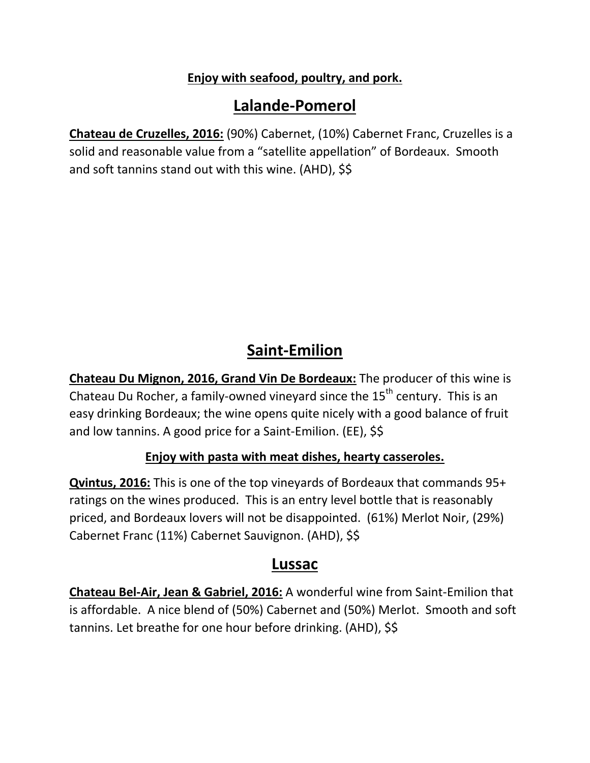#### **Enjoy with seafood, poultry, and pork.**

# **Lalande-Pomerol**

**Chateau de Cruzelles, 2016:** (90%) Cabernet, (10%) Cabernet Franc, Cruzelles is a solid and reasonable value from a "satellite appellation" of Bordeaux. Smooth and soft tannins stand out with this wine. (AHD), \$\$

# **Saint-Emilion**

**Chateau Du Mignon, 2016, Grand Vin De Bordeaux:** The producer of this wine is Chateau Du Rocher, a family-owned vineyard since the  $15<sup>th</sup>$  century. This is an easy drinking Bordeaux; the wine opens quite nicely with a good balance of fruit and low tannins. A good price for a Saint-Emilion. (EE), \$\$

#### **Enjoy with pasta with meat dishes, hearty casseroles.**

**Qvintus, 2016:** This is one of the top vineyards of Bordeaux that commands 95+ ratings on the wines produced. This is an entry level bottle that is reasonably priced, and Bordeaux lovers will not be disappointed. (61%) Merlot Noir, (29%) Cabernet Franc (11%) Cabernet Sauvignon. (AHD), \$\$

## **Lussac**

**Chateau Bel-Air, Jean & Gabriel, 2016:** A wonderful wine from Saint-Emilion that is affordable. A nice blend of (50%) Cabernet and (50%) Merlot. Smooth and soft tannins. Let breathe for one hour before drinking. (AHD), \$\$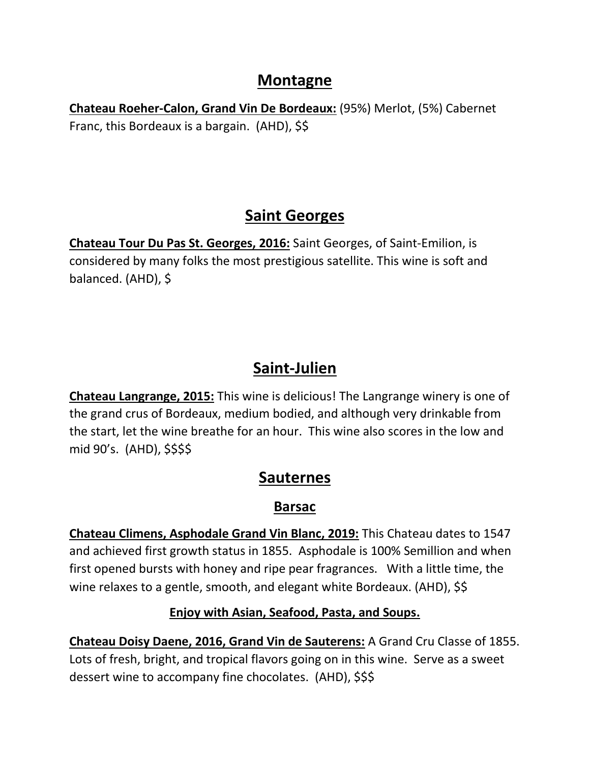## **Montagne**

**Chateau Roeher-Calon, Grand Vin De Bordeaux:** (95%) Merlot, (5%) Cabernet Franc, this Bordeaux is a bargain. (AHD), \$\$

# **Saint Georges**

**Chateau Tour Du Pas St. Georges, 2016:** Saint Georges, of Saint-Emilion, is considered by many folks the most prestigious satellite. This wine is soft and balanced. (AHD), \$

# **Saint-Julien**

**Chateau Langrange, 2015:** This wine is delicious! The Langrange winery is one of the grand crus of Bordeaux, medium bodied, and although very drinkable from the start, let the wine breathe for an hour. This wine also scores in the low and mid 90's. (AHD), \$\$\$\$

# **Sauternes**

## **Barsac**

**Chateau Climens, Asphodale Grand Vin Blanc, 2019:** This Chateau dates to 1547 and achieved first growth status in 1855. Asphodale is 100% Semillion and when first opened bursts with honey and ripe pear fragrances. With a little time, the wine relaxes to a gentle, smooth, and elegant white Bordeaux. (AHD), \$\$

#### **Enjoy with Asian, Seafood, Pasta, and Soups.**

**Chateau Doisy Daene, 2016, Grand Vin de Sauterens:** A Grand Cru Classe of 1855. Lots of fresh, bright, and tropical flavors going on in this wine. Serve as a sweet dessert wine to accompany fine chocolates. (AHD), \$\$\$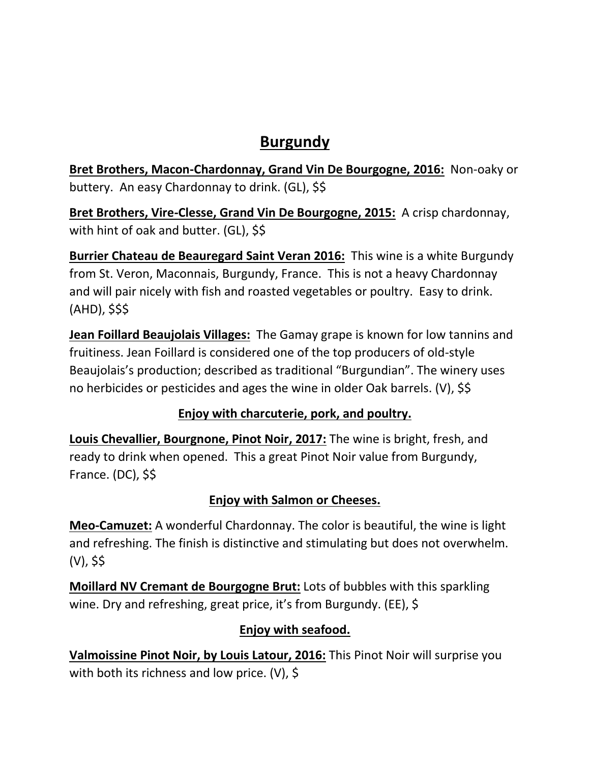# **Burgundy**

**Bret Brothers, Macon-Chardonnay, Grand Vin De Bourgogne, 2016:** Non-oaky or buttery. An easy Chardonnay to drink. (GL), \$\$

**Bret Brothers, Vire-Clesse, Grand Vin De Bourgogne, 2015:** A crisp chardonnay, with hint of oak and butter. (GL), \$\$

**Burrier Chateau de Beauregard Saint Veran 2016:** This wine is a white Burgundy from St. Veron, Maconnais, Burgundy, France. This is not a heavy Chardonnay and will pair nicely with fish and roasted vegetables or poultry. Easy to drink. (AHD), \$\$\$

**Jean Foillard Beaujolais Villages:** The Gamay grape is known for low tannins and fruitiness. Jean Foillard is considered one of the top producers of old-style Beaujolais's production; described as traditional "Burgundian". The winery uses no herbicides or pesticides and ages the wine in older Oak barrels. (V), \$\$

## **Enjoy with charcuterie, pork, and poultry.**

**Louis Chevallier, Bourgnone, Pinot Noir, 2017:** The wine is bright, fresh, and ready to drink when opened. This a great Pinot Noir value from Burgundy, France. (DC), \$\$

## **Enjoy with Salmon or Cheeses.**

**Meo-Camuzet:** A wonderful Chardonnay. The color is beautiful, the wine is light and refreshing. The finish is distinctive and stimulating but does not overwhelm. (V), \$\$

**Moillard NV Cremant de Bourgogne Brut:** Lots of bubbles with this sparkling wine. Dry and refreshing, great price, it's from Burgundy. (EE), \$

## **Enjoy with seafood.**

**Valmoissine Pinot Noir, by Louis Latour, 2016:** This Pinot Noir will surprise you with both its richness and low price. (V), \$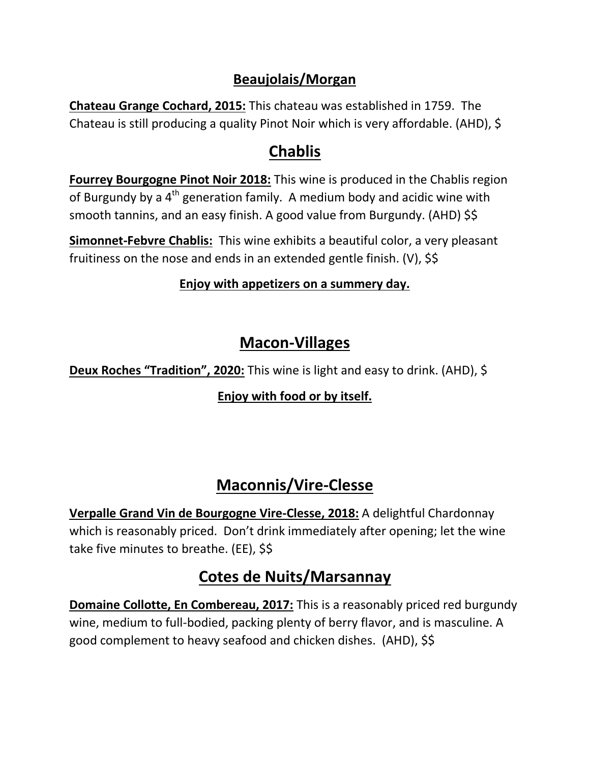## **Beaujolais/Morgan**

**Chateau Grange Cochard, 2015:** This chateau was established in 1759. The Chateau is still producing a quality Pinot Noir which is very affordable. (AHD), \$

# **Chablis**

**Fourrey Bourgogne Pinot Noir 2018:** This wine is produced in the Chablis region of Burgundy by a  $4<sup>th</sup>$  generation family. A medium body and acidic wine with smooth tannins, and an easy finish. A good value from Burgundy. (AHD) \$\$

**Simonnet-Febvre Chablis:** This wine exhibits a beautiful color, a very pleasant fruitiness on the nose and ends in an extended gentle finish. (V), \$\$

### **Enjoy with appetizers on a summery day.**

# **Macon-Villages**

**Deux Roches "Tradition", 2020:** This wine is light and easy to drink. (AHD), \$

## **Enjoy with food or by itself.**

# **Maconnis/Vire-Clesse**

**Verpalle Grand Vin de Bourgogne Vire-Clesse, 2018:** A delightful Chardonnay which is reasonably priced. Don't drink immediately after opening; let the wine take five minutes to breathe. (EE), \$\$

# **Cotes de Nuits/Marsannay**

**Domaine Collotte, En Combereau, 2017:** This is a reasonably priced red burgundy wine, medium to full-bodied, packing plenty of berry flavor, and is masculine. A good complement to heavy seafood and chicken dishes. (AHD), \$\$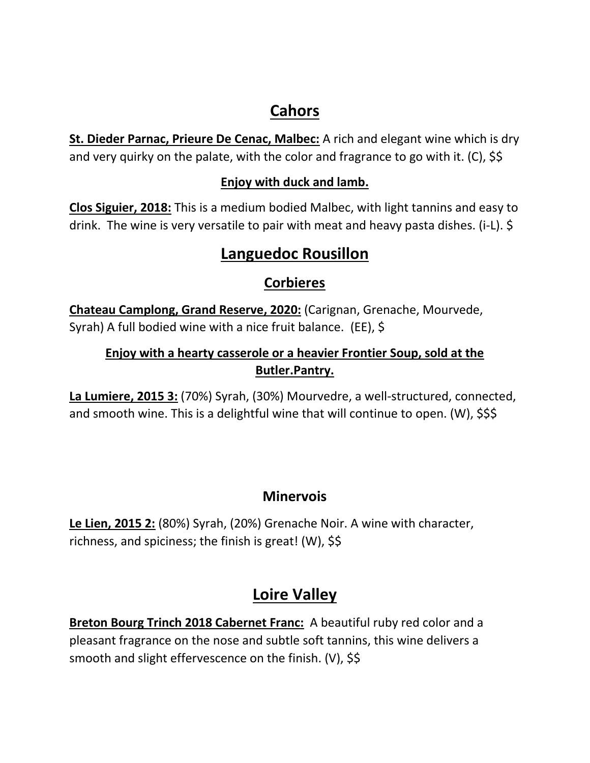# **Cahors**

**St. Dieder Parnac, Prieure De Cenac, Malbec:** A rich and elegant wine which is dry and very quirky on the palate, with the color and fragrance to go with it. (C), \$\$

#### **Enjoy with duck and lamb.**

**Clos Siguier, 2018:** This is a medium bodied Malbec, with light tannins and easy to drink. The wine is very versatile to pair with meat and heavy pasta dishes. (i-L). \$

# **Languedoc Rousillon**

## **Corbieres**

**Chateau Camplong, Grand Reserve, 2020:** (Carignan, Grenache, Mourvede, Syrah) A full bodied wine with a nice fruit balance. (EE), \$

## **Enjoy with a hearty casserole or a heavier Frontier Soup, sold at the Butler.Pantry.**

**La Lumiere, 2015 3:** (70%) Syrah, (30%) Mourvedre, a well-structured, connected, and smooth wine. This is a delightful wine that will continue to open. (W), \$\$\$

## **Minervois**

**Le Lien, 2015 2:** (80%) Syrah, (20%) Grenache Noir. A wine with character, richness, and spiciness; the finish is great! (W), \$\$

# **Loire Valley**

**Breton Bourg Trinch 2018 Cabernet Franc:** A beautiful ruby red color and a pleasant fragrance on the nose and subtle soft tannins, this wine delivers a smooth and slight effervescence on the finish. (V), \$\$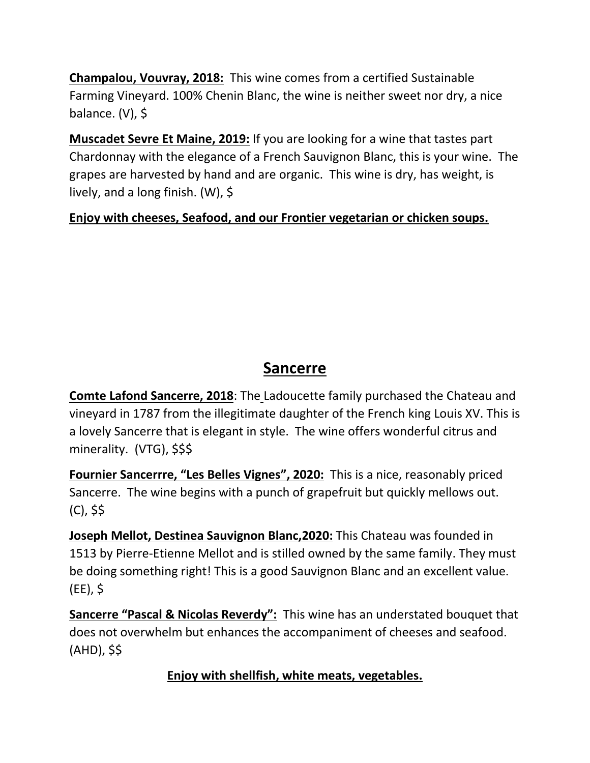**Champalou, Vouvray, 2018:** This wine comes from a certified Sustainable Farming Vineyard. 100% Chenin Blanc, the wine is neither sweet nor dry, a nice balance. (V), \$

**Muscadet Sevre Et Maine, 2019:** If you are looking for a wine that tastes part Chardonnay with the elegance of a French Sauvignon Blanc, this is your wine. The grapes are harvested by hand and are organic. This wine is dry, has weight, is lively, and a long finish. (W), \$

**Enjoy with cheeses, Seafood, and our Frontier vegetarian or chicken soups.** 

# **Sancerre**

**Comte Lafond Sancerre, 2018**: The Ladoucette family purchased the Chateau and vineyard in 1787 from the illegitimate daughter of the French king Louis XV. This is a lovely Sancerre that is elegant in style. The wine offers wonderful citrus and minerality. (VTG), \$\$\$

**Fournier Sancerrre, "Les Belles Vignes", 2020:** This is a nice, reasonably priced Sancerre. The wine begins with a punch of grapefruit but quickly mellows out. (C), \$\$

**Joseph Mellot, Destinea Sauvignon Blanc,2020:** This Chateau was founded in 1513 by Pierre-Etienne Mellot and is stilled owned by the same family. They must be doing something right! This is a good Sauvignon Blanc and an excellent value. (EE), \$

**Sancerre "Pascal & Nicolas Reverdy":** This wine has an understated bouquet that does not overwhelm but enhances the accompaniment of cheeses and seafood. (AHD), \$\$

**Enjoy with shellfish, white meats, vegetables.**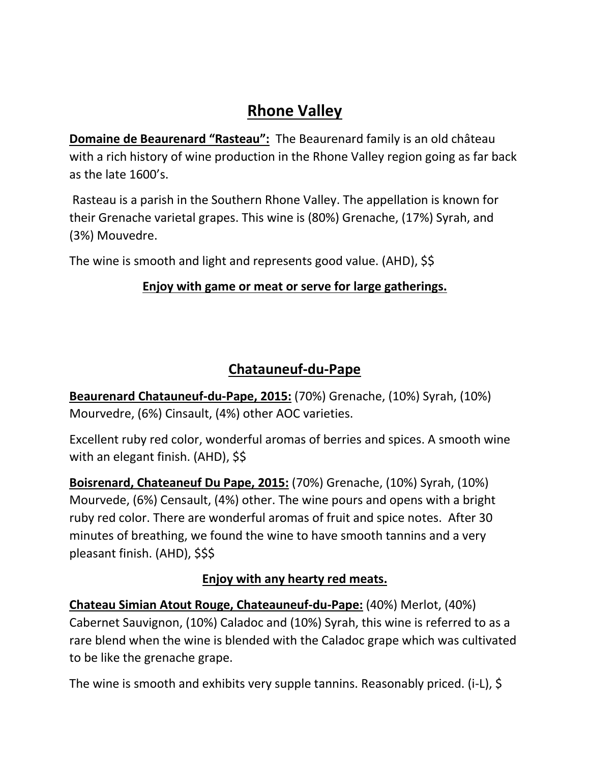# **Rhone Valley**

**Domaine de Beaurenard "Rasteau":** The Beaurenard family is an old château with a rich history of wine production in the Rhone Valley region going as far back as the late 1600's.

Rasteau is a parish in the Southern Rhone Valley. The appellation is known for their Grenache varietal grapes. This wine is (80%) Grenache, (17%) Syrah, and (3%) Mouvedre.

The wine is smooth and light and represents good value. (AHD), \$\$

#### **Enjoy with game or meat or serve for large gatherings.**

## **Chatauneuf-du-Pape**

**Beaurenard Chatauneuf-du-Pape, 2015:** (70%) Grenache, (10%) Syrah, (10%) Mourvedre, (6%) Cinsault, (4%) other AOC varieties.

Excellent ruby red color, wonderful aromas of berries and spices. A smooth wine with an elegant finish. (AHD), \$\$

**Boisrenard, Chateaneuf Du Pape, 2015:** (70%) Grenache, (10%) Syrah, (10%) Mourvede, (6%) Censault, (4%) other. The wine pours and opens with a bright ruby red color. There are wonderful aromas of fruit and spice notes. After 30 minutes of breathing, we found the wine to have smooth tannins and a very pleasant finish. (AHD), \$\$\$

#### **Enjoy with any hearty red meats.**

**Chateau Simian Atout Rouge, Chateauneuf-du-Pape:** (40%) Merlot, (40%) Cabernet Sauvignon, (10%) Caladoc and (10%) Syrah, this wine is referred to as a rare blend when the wine is blended with the Caladoc grape which was cultivated to be like the grenache grape.

The wine is smooth and exhibits very supple tannins. Reasonably priced. (i-L), \$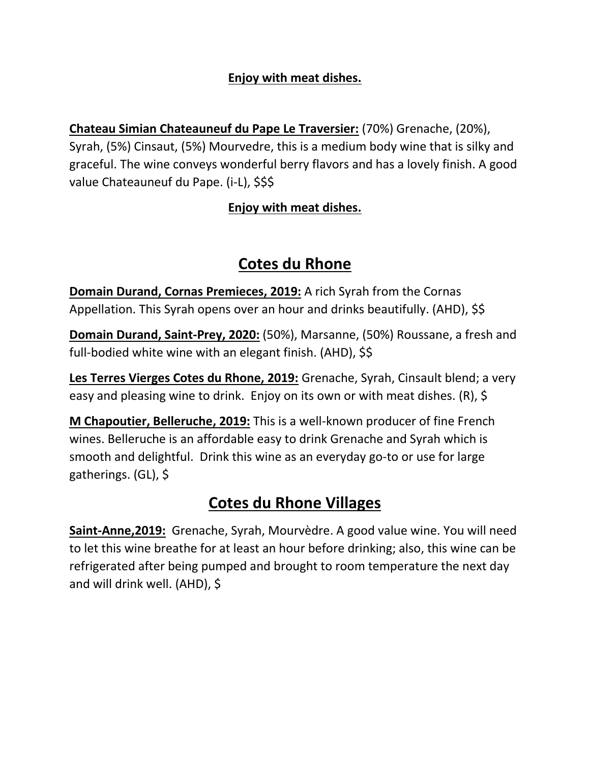#### **Enjoy with meat dishes.**

**Chateau Simian Chateauneuf du Pape Le Traversier:** (70%) Grenache, (20%), Syrah, (5%) Cinsaut, (5%) Mourvedre, this is a medium body wine that is silky and graceful. The wine conveys wonderful berry flavors and has a lovely finish. A good value Chateauneuf du Pape. (i-L), \$\$\$

#### **Enjoy with meat dishes.**

# **Cotes du Rhone**

**Domain Durand, Cornas Premieces, 2019:** A rich Syrah from the Cornas Appellation. This Syrah opens over an hour and drinks beautifully. (AHD), \$\$

**Domain Durand, Saint-Prey, 2020:** (50%), Marsanne, (50%) Roussane, a fresh and full-bodied white wine with an elegant finish. (AHD), \$\$

**Les Terres Vierges Cotes du Rhone, 2019:** Grenache, Syrah, Cinsault blend; a very easy and pleasing wine to drink. Enjoy on its own or with meat dishes. (R), \$

**M Chapoutier, Belleruche, 2019:** This is a well-known producer of fine French wines. Belleruche is an affordable easy to drink Grenache and Syrah which is smooth and delightful. Drink this wine as an everyday go-to or use for large gatherings. (GL), \$

# **Cotes du Rhone Villages**

**Saint-Anne,2019:** Grenache, Syrah, Mourvèdre. A good value wine. You will need to let this wine breathe for at least an hour before drinking; also, this wine can be refrigerated after being pumped and brought to room temperature the next day and will drink well. (AHD), \$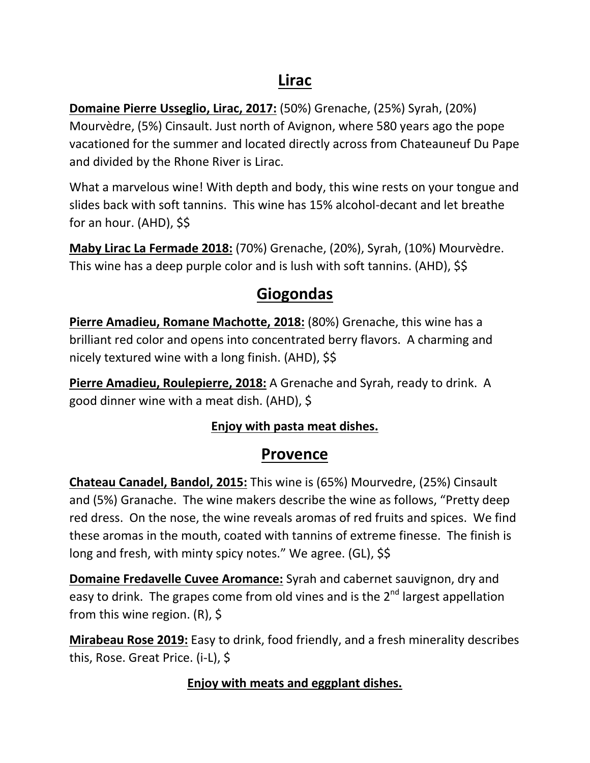# **Lirac**

**Domaine Pierre Usseglio, Lirac, 2017:** (50%) Grenache, (25%) Syrah, (20%) Mourvèdre, (5%) Cinsault. Just north of Avignon, where 580 years ago the pope vacationed for the summer and located directly across from Chateauneuf Du Pape and divided by the Rhone River is Lirac.

What a marvelous wine! With depth and body, this wine rests on your tongue and slides back with soft tannins. This wine has 15% alcohol-decant and let breathe for an hour. (AHD), \$\$

**Maby Lirac La Fermade 2018:** (70%) Grenache, (20%), Syrah, (10%) Mourvèdre. This wine has a deep purple color and is lush with soft tannins. (AHD), \$\$

# **Giogondas**

**Pierre Amadieu, Romane Machotte, 2018:** (80%) Grenache, this wine has a brilliant red color and opens into concentrated berry flavors. A charming and nicely textured wine with a long finish. (AHD), \$\$

**Pierre Amadieu, Roulepierre, 2018:** A Grenache and Syrah, ready to drink. A good dinner wine with a meat dish. (AHD), \$

#### **Enjoy with pasta meat dishes.**

## **Provence**

**Chateau Canadel, Bandol, 2015:** This wine is (65%) Mourvedre, (25%) Cinsault and (5%) Granache. The wine makers describe the wine as follows, "Pretty deep red dress. On the nose, the wine reveals aromas of red fruits and spices. We find these aromas in the mouth, coated with tannins of extreme finesse. The finish is long and fresh, with minty spicy notes." We agree. (GL), \$\$

**Domaine Fredavelle Cuvee Aromance:** Syrah and cabernet sauvignon, dry and easy to drink. The grapes come from old vines and is the 2<sup>nd</sup> largest appellation from this wine region. (R), \$

**Mirabeau Rose 2019:** Easy to drink, food friendly, and a fresh minerality describes this, Rose. Great Price. (i-L), \$

#### **Enjoy with meats and eggplant dishes.**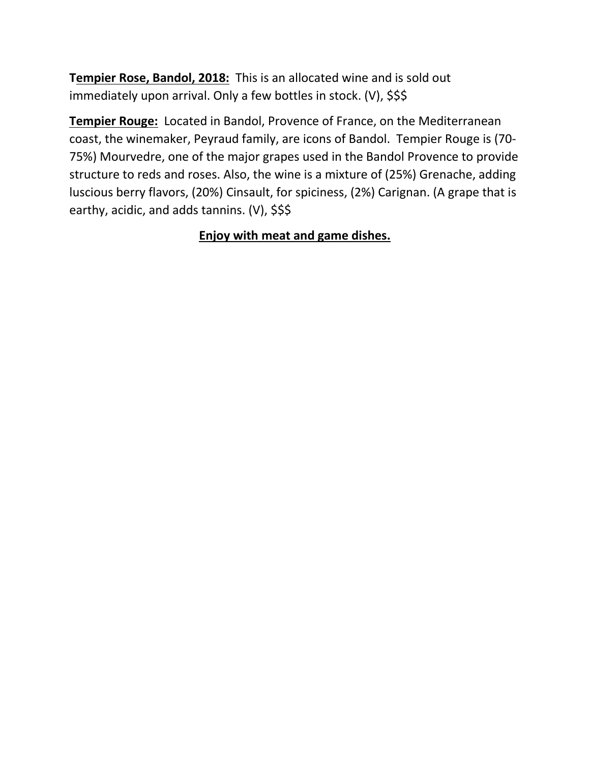**Tempier Rose, Bandol, 2018:** This is an allocated wine and is sold out immediately upon arrival. Only a few bottles in stock. (V), \$\$\$

**Tempier Rouge:** Located in Bandol, Provence of France, on the Mediterranean coast, the winemaker, Peyraud family, are icons of Bandol. Tempier Rouge is (70- 75%) Mourvedre, one of the major grapes used in the Bandol Provence to provide structure to reds and roses. Also, the wine is a mixture of (25%) Grenache, adding luscious berry flavors, (20%) Cinsault, for spiciness, (2%) Carignan. (A grape that is earthy, acidic, and adds tannins. (V), \$\$\$

#### **Enjoy with meat and game dishes.**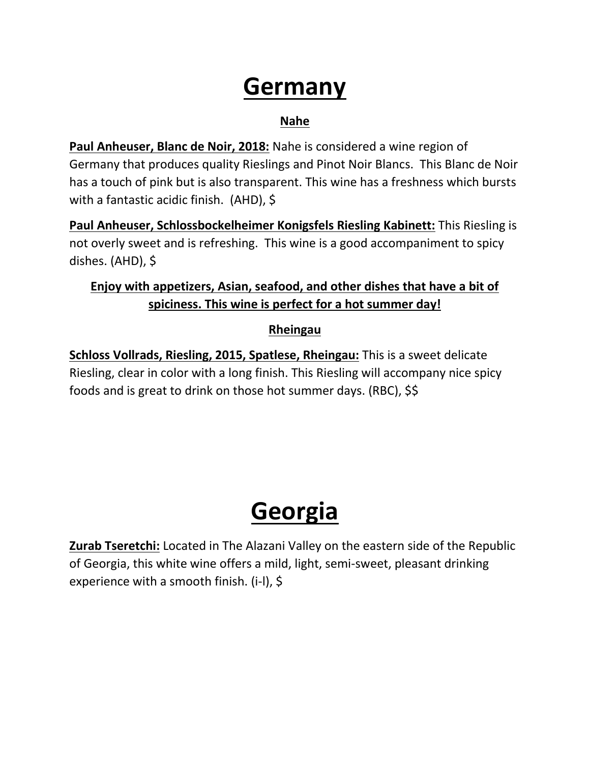# **Germany**

#### **Nahe**

**Paul Anheuser, Blanc de Noir, 2018:** Nahe is considered a wine region of Germany that produces quality Rieslings and Pinot Noir Blancs. This Blanc de Noir has a touch of pink but is also transparent. This wine has a freshness which bursts with a fantastic acidic finish. (AHD), \$

**Paul Anheuser, Schlossbockelheimer Konigsfels Riesling Kabinett:** This Riesling is not overly sweet and is refreshing. This wine is a good accompaniment to spicy dishes. (AHD), \$

### **Enjoy with appetizers, Asian, seafood, and other dishes that have a bit of spiciness. This wine is perfect for a hot summer day!**

#### **Rheingau**

**Schloss Vollrads, Riesling, 2015, Spatlese, Rheingau:** This is a sweet delicate Riesling, clear in color with a long finish. This Riesling will accompany nice spicy foods and is great to drink on those hot summer days. (RBC), \$\$

# **Georgia**

**Zurab Tseretchi:** Located in The Alazani Valley on the eastern side of the Republic of Georgia, this white wine offers a mild, light, semi-sweet, pleasant drinking experience with a smooth finish. (i-l), \$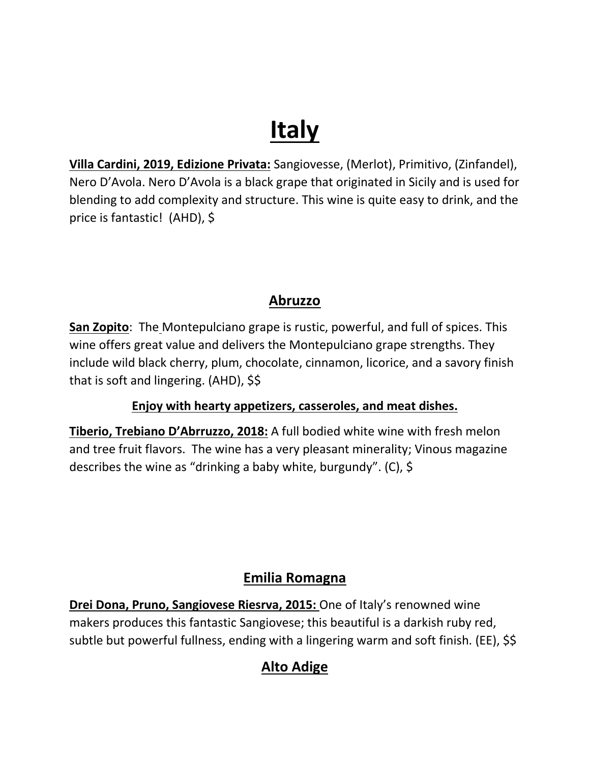# **Italy**

**Villa Cardini, 2019, Edizione Privata:** Sangiovesse, (Merlot), Primitivo, (Zinfandel), Nero D'Avola. Nero D'Avola is a black grape that originated in Sicily and is used for blending to add complexity and structure. This wine is quite easy to drink, and the price is fantastic! (AHD), \$

## **Abruzzo**

**San Zopito**: The Montepulciano grape is rustic, powerful, and full of spices. This wine offers great value and delivers the Montepulciano grape strengths. They include wild black cherry, plum, chocolate, cinnamon, licorice, and a savory finish that is soft and lingering. (AHD), \$\$

#### **Enjoy with hearty appetizers, casseroles, and meat dishes.**

**Tiberio, Trebiano D'Abrruzzo, 2018:** A full bodied white wine with fresh melon and tree fruit flavors. The wine has a very pleasant minerality; Vinous magazine describes the wine as "drinking a baby white, burgundy". (C), \$

## **Emilia Romagna**

**Drei Dona, Pruno, Sangiovese Riesrva, 2015:** One of Italy's renowned wine makers produces this fantastic Sangiovese; this beautiful is a darkish ruby red, subtle but powerful fullness, ending with a lingering warm and soft finish. (EE), \$\$

# **Alto Adige**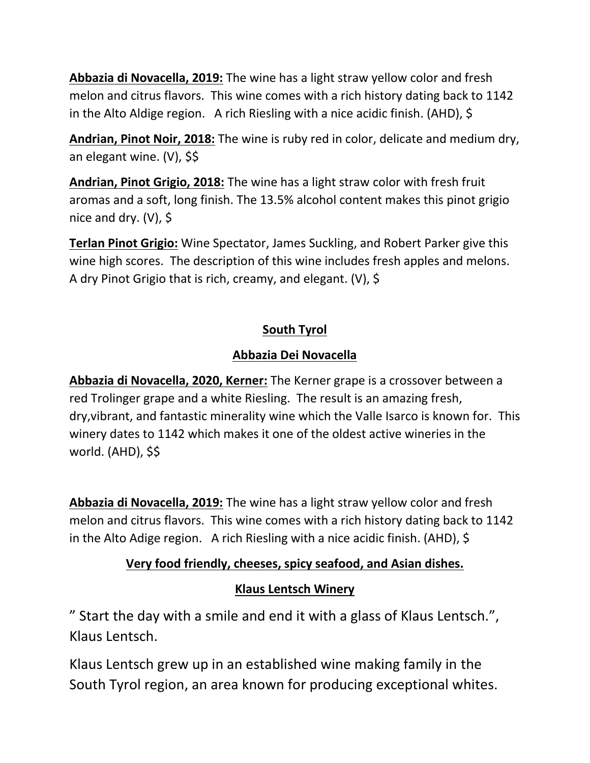**Abbazia di Novacella, 2019:** The wine has a light straw yellow color and fresh melon and citrus flavors. This wine comes with a rich history dating back to 1142 in the Alto Aldige region. A rich Riesling with a nice acidic finish. (AHD), \$

**Andrian, Pinot Noir, 2018:** The wine is ruby red in color, delicate and medium dry, an elegant wine. (V), \$\$

**Andrian, Pinot Grigio, 2018:** The wine has a light straw color with fresh fruit aromas and a soft, long finish. The 13.5% alcohol content makes this pinot grigio nice and dry. (V), \$

**Terlan Pinot Grigio:** Wine Spectator, James Suckling, and Robert Parker give this wine high scores. The description of this wine includes fresh apples and melons. A dry Pinot Grigio that is rich, creamy, and elegant. (V), \$

### **South Tyrol**

### **Abbazia Dei Novacella**

**Abbazia di Novacella, 2020, Kerner:** The Kerner grape is a crossover between a red Trolinger grape and a white Riesling. The result is an amazing fresh, dry,vibrant, and fantastic minerality wine which the Valle Isarco is known for. This winery dates to 1142 which makes it one of the oldest active wineries in the world. (AHD), \$\$

**Abbazia di Novacella, 2019:** The wine has a light straw yellow color and fresh melon and citrus flavors. This wine comes with a rich history dating back to 1142 in the Alto Adige region. A rich Riesling with a nice acidic finish. (AHD), \$

## **Very food friendly, cheeses, spicy seafood, and Asian dishes.**

## **Klaus Lentsch Winery**

" Start the day with a smile and end it with a glass of Klaus Lentsch.", Klaus Lentsch.

Klaus Lentsch grew up in an established wine making family in the South Tyrol region, an area known for producing exceptional whites.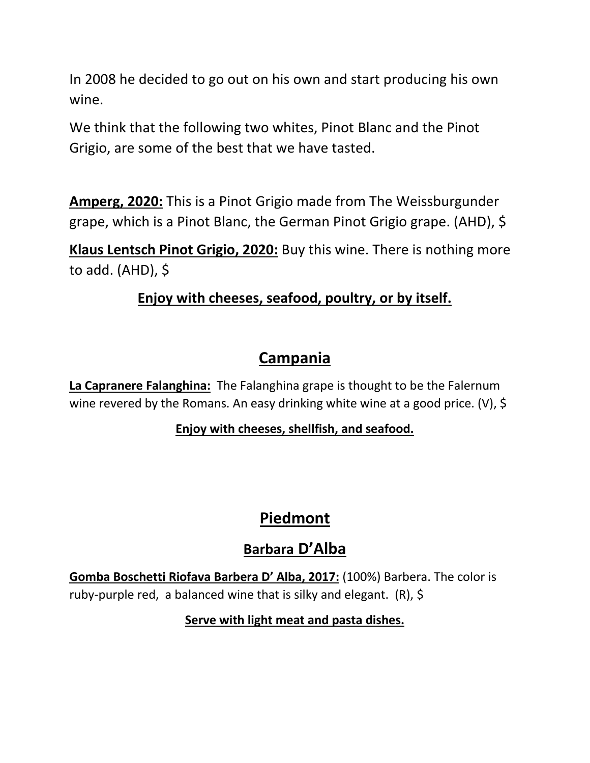In 2008 he decided to go out on his own and start producing his own wine.

We think that the following two whites, Pinot Blanc and the Pinot Grigio, are some of the best that we have tasted.

**Amperg, 2020:** This is a Pinot Grigio made from The Weissburgunder grape, which is a Pinot Blanc, the German Pinot Grigio grape. (AHD), \$

**Klaus Lentsch Pinot Grigio, 2020:** Buy this wine. There is nothing more to add.  $(AHD)$ , \$

## **Enjoy with cheeses, seafood, poultry, or by itself.**

# **Campania**

**La Capranere Falanghina:** The Falanghina grape is thought to be the Falernum wine revered by the Romans. An easy drinking white wine at a good price. (V), \$

## **Enjoy with cheeses, shellfish, and seafood.**

# **Piedmont**

# **Barbara D'Alba**

**Gomba Boschetti Riofava Barbera D' Alba, 2017:** (100%) Barbera. The color is ruby-purple red, a balanced wine that is silky and elegant. (R), \$

**Serve with light meat and pasta dishes.**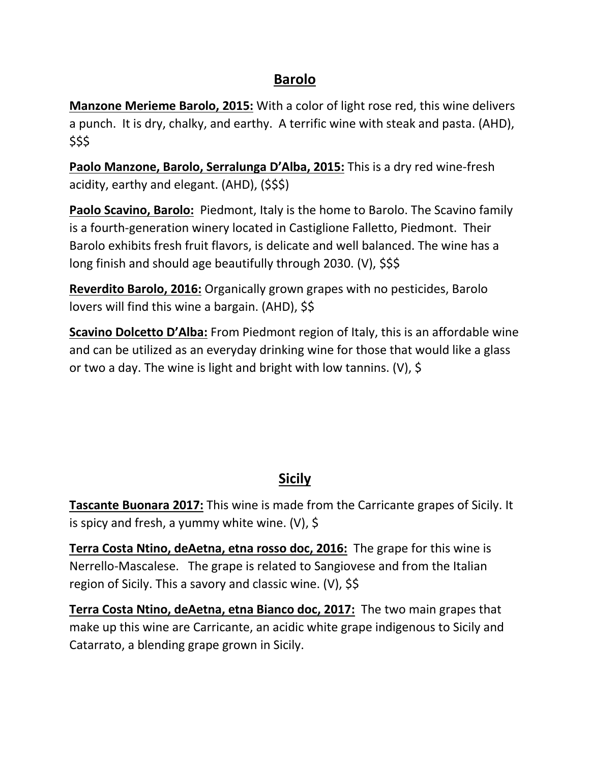#### **Barolo**

**Manzone Merieme Barolo, 2015:** With a color of light rose red, this wine delivers a punch. It is dry, chalky, and earthy. A terrific wine with steak and pasta. (AHD), \$\$\$

**Paolo Manzone, Barolo, Serralunga D'Alba, 2015:** This is a dry red wine-fresh acidity, earthy and elegant. (AHD), (\$\$\$)

**Paolo Scavino, Barolo:** Piedmont, Italy is the home to Barolo. The Scavino family is a fourth-generation winery located in Castiglione Falletto, Piedmont. Their Barolo exhibits fresh fruit flavors, is delicate and well balanced. The wine has a long finish and should age beautifully through 2030. (V), \$\$\$

**Reverdito Barolo, 2016:** Organically grown grapes with no pesticides, Barolo lovers will find this wine a bargain. (AHD), \$\$

**Scavino Dolcetto D'Alba:** From Piedmont region of Italy, this is an affordable wine and can be utilized as an everyday drinking wine for those that would like a glass or two a day. The wine is light and bright with low tannins. (V), \$

# **Sicily**

**Tascante Buonara 2017:** This wine is made from the Carricante grapes of Sicily. It is spicy and fresh, a yummy white wine. (V),  $\oint$ 

**Terra Costa Ntino, deAetna, etna rosso doc, 2016:** The grape for this wine is Nerrello-Mascalese. The grape is related to Sangiovese and from the Italian region of Sicily. This a savory and classic wine. (V), \$\$

**Terra Costa Ntino, deAetna, etna Bianco doc, 2017:** The two main grapes that make up this wine are Carricante, an acidic white grape indigenous to Sicily and Catarrato, a blending grape grown in Sicily.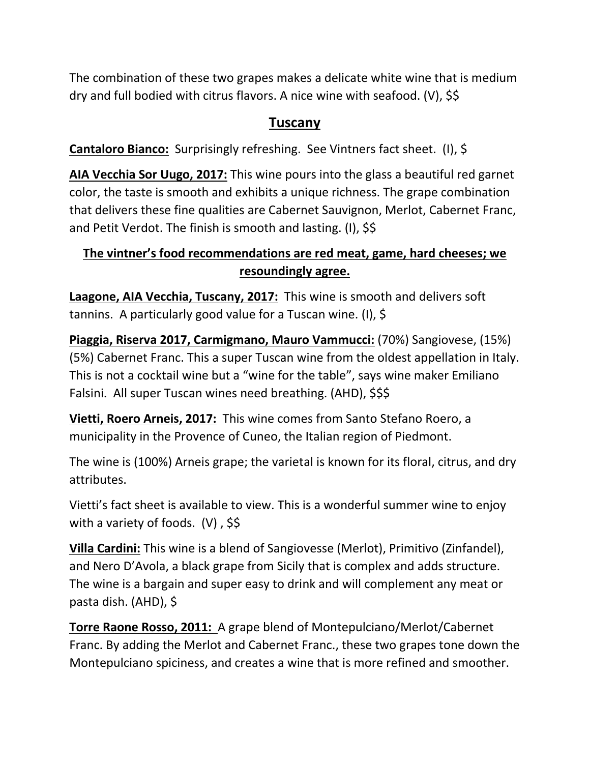The combination of these two grapes makes a delicate white wine that is medium dry and full bodied with citrus flavors. A nice wine with seafood. (V), \$\$

#### **Tuscany**

**Cantaloro Bianco:** Surprisingly refreshing. See Vintners fact sheet. (I), \$

**AIA Vecchia Sor Uugo, 2017:** This wine pours into the glass a beautiful red garnet color, the taste is smooth and exhibits a unique richness. The grape combination that delivers these fine qualities are Cabernet Sauvignon, Merlot, Cabernet Franc, and Petit Verdot. The finish is smooth and lasting. (I), \$\$

#### **The vintner's food recommendations are red meat, game, hard cheeses; we resoundingly agree.**

**Laagone, AIA Vecchia, Tuscany, 2017:** This wine is smooth and delivers soft tannins. A particularly good value for a Tuscan wine. (I), \$

**Piaggia, Riserva 2017, Carmigmano, Mauro Vammucci:** (70%) Sangiovese, (15%) (5%) Cabernet Franc. This a super Tuscan wine from the oldest appellation in Italy. This is not a cocktail wine but a "wine for the table", says wine maker Emiliano Falsini. All super Tuscan wines need breathing. (AHD), \$\$\$

**Vietti, Roero Arneis, 2017:** This wine comes from Santo Stefano Roero, a municipality in the Provence of Cuneo, the Italian region of Piedmont.

The wine is (100%) Arneis grape; the varietal is known for its floral, citrus, and dry attributes.

Vietti's fact sheet is available to view. This is a wonderful summer wine to enjoy with a variety of foods.  $(V)$ , \$\$

**Villa Cardini:** This wine is a blend of Sangiovesse (Merlot), Primitivo (Zinfandel), and Nero D'Avola, a black grape from Sicily that is complex and adds structure. The wine is a bargain and super easy to drink and will complement any meat or pasta dish. (AHD), \$

**Torre Raone Rosso, 2011:** A grape blend of Montepulciano/Merlot/Cabernet Franc. By adding the Merlot and Cabernet Franc., these two grapes tone down the Montepulciano spiciness, and creates a wine that is more refined and smoother.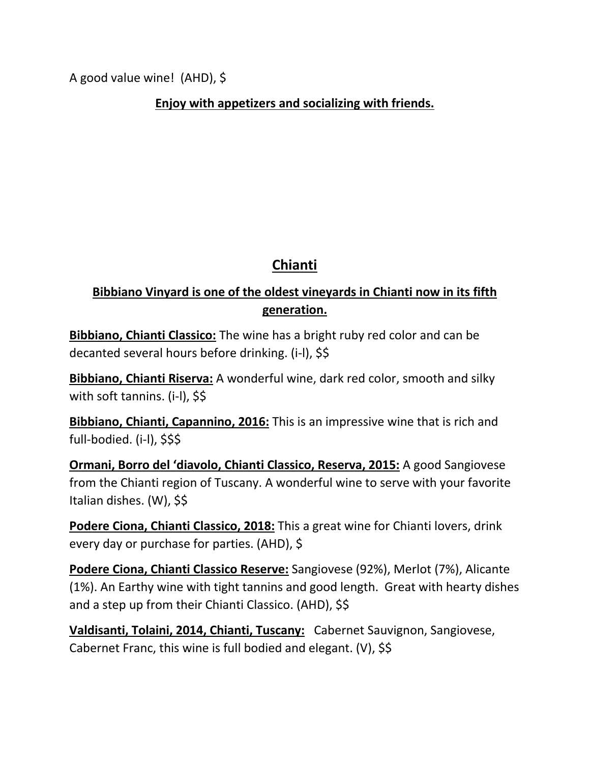A good value wine! (AHD), \$

**Enjoy with appetizers and socializing with friends.**

## **Chianti**

### **Bibbiano Vinyard is one of the oldest vineyards in Chianti now in its fifth generation.**

**Bibbiano, Chianti Classico:** The wine has a bright ruby red color and can be decanted several hours before drinking. (i-l), \$\$

**Bibbiano, Chianti Riserva:** A wonderful wine, dark red color, smooth and silky with soft tannins. (i-l), \$\$

**Bibbiano, Chianti, Capannino, 2016:** This is an impressive wine that is rich and full-bodied. (i-l), \$\$\$

**Ormani, Borro del 'diavolo, Chianti Classico, Reserva, 2015:** A good Sangiovese from the Chianti region of Tuscany. A wonderful wine to serve with your favorite Italian dishes. (W), \$\$

**Podere Ciona, Chianti Classico, 2018:** This a great wine for Chianti lovers, drink every day or purchase for parties. (AHD), \$

**Podere Ciona, Chianti Classico Reserve:** Sangiovese (92%), Merlot (7%), Alicante (1%). An Earthy wine with tight tannins and good length. Great with hearty dishes and a step up from their Chianti Classico. (AHD), \$\$

**Valdisanti, Tolaini, 2014, Chianti, Tuscany:** Cabernet Sauvignon, Sangiovese, Cabernet Franc, this wine is full bodied and elegant. (V), \$\$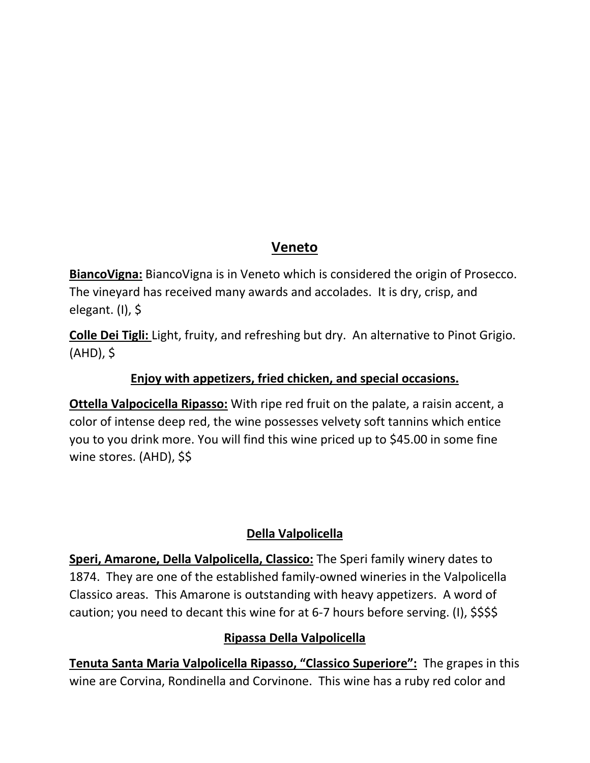## **Veneto**

**BiancoVigna:** BiancoVigna is in Veneto which is considered the origin of Prosecco. The vineyard has received many awards and accolades. It is dry, crisp, and elegant. (I), \$

**Colle Dei Tigli:** Light, fruity, and refreshing but dry. An alternative to Pinot Grigio. (AHD), \$

#### **Enjoy with appetizers, fried chicken, and special occasions.**

**Ottella Valpocicella Ripasso:** With ripe red fruit on the palate, a raisin accent, a color of intense deep red, the wine possesses velvety soft tannins which entice you to you drink more. You will find this wine priced up to \$45.00 in some fine wine stores. (AHD), \$\$

#### **Della Valpolicella**

**Speri, Amarone, Della Valpolicella, Classico:** The Speri family winery dates to 1874. They are one of the established family-owned wineries in the Valpolicella Classico areas. This Amarone is outstanding with heavy appetizers. A word of caution; you need to decant this wine for at 6-7 hours before serving. (I), \$\$\$\$

#### **Ripassa Della Valpolicella**

**Tenuta Santa Maria Valpolicella Ripasso, "Classico Superiore":** The grapes in this wine are Corvina, Rondinella and Corvinone. This wine has a ruby red color and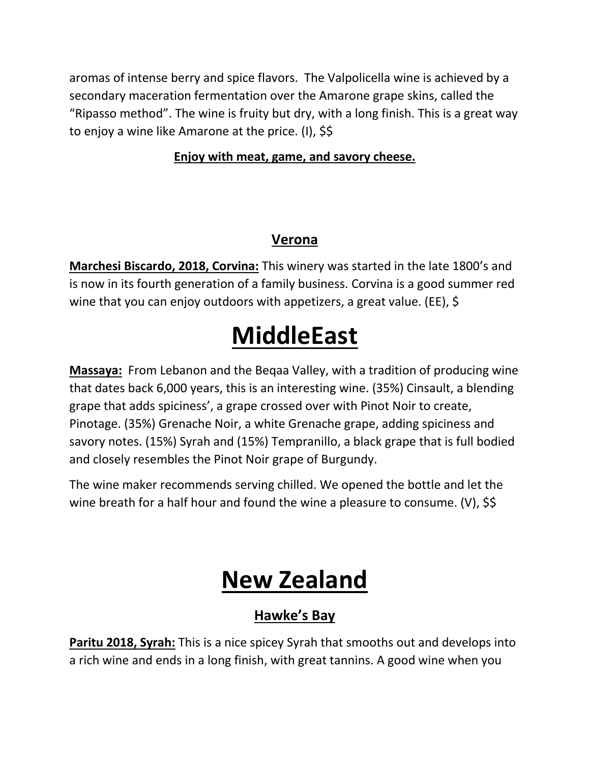aromas of intense berry and spice flavors. The Valpolicella wine is achieved by a secondary maceration fermentation over the Amarone grape skins, called the "Ripasso method". The wine is fruity but dry, with a long finish. This is a great way to enjoy a wine like Amarone at the price. (I), \$\$

#### **Enjoy with meat, game, and savory cheese.**

## **Verona**

**Marchesi Biscardo, 2018, Corvina:** This winery was started in the late 1800's and is now in its fourth generation of a family business. Corvina is a good summer red wine that you can enjoy outdoors with appetizers, a great value. (EE), \$

# **MiddleEast**

**Massaya:** From Lebanon and the Beqaa Valley, with a tradition of producing wine that dates back 6,000 years, this is an interesting wine. (35%) Cinsault, a blending grape that adds spiciness', a grape crossed over with Pinot Noir to create, Pinotage. (35%) Grenache Noir, a white Grenache grape, adding spiciness and savory notes. (15%) Syrah and (15%) Tempranillo, a black grape that is full bodied and closely resembles the Pinot Noir grape of Burgundy.

The wine maker recommends serving chilled. We opened the bottle and let the wine breath for a half hour and found the wine a pleasure to consume. (V), \$\$

# **New Zealand**

# **Hawke's Bay**

**Paritu 2018, Syrah:** This is a nice spicey Syrah that smooths out and develops into a rich wine and ends in a long finish, with great tannins. A good wine when you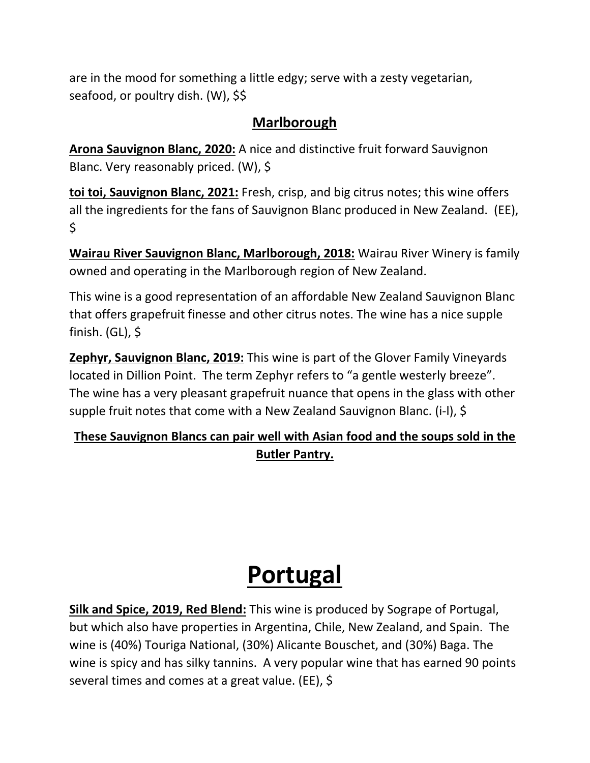are in the mood for something a little edgy; serve with a zesty vegetarian, seafood, or poultry dish. (W), \$\$

## **Marlborough**

**Arona Sauvignon Blanc, 2020:** A nice and distinctive fruit forward Sauvignon Blanc. Very reasonably priced. (W), \$

**toi toi, Sauvignon Blanc, 2021:** Fresh, crisp, and big citrus notes; this wine offers all the ingredients for the fans of Sauvignon Blanc produced in New Zealand. (EE), \$

**Wairau River Sauvignon Blanc, Marlborough, 2018:** Wairau River Winery is family owned and operating in the Marlborough region of New Zealand.

This wine is a good representation of an affordable New Zealand Sauvignon Blanc that offers grapefruit finesse and other citrus notes. The wine has a nice supple finish. (GL), \$

**Zephyr, Sauvignon Blanc, 2019:** This wine is part of the Glover Family Vineyards located in Dillion Point. The term Zephyr refers to "a gentle westerly breeze". The wine has a very pleasant grapefruit nuance that opens in the glass with other supple fruit notes that come with a New Zealand Sauvignon Blanc. (i-l), \$

## **These Sauvignon Blancs can pair well with Asian food and the soups sold in the Butler Pantry.**

# **Portugal**

**Silk and Spice, 2019, Red Blend:** This wine is produced by Sogrape of Portugal, but which also have properties in Argentina, Chile, New Zealand, and Spain. The wine is (40%) Touriga National, (30%) Alicante Bouschet, and (30%) Baga. The wine is spicy and has silky tannins. A very popular wine that has earned 90 points several times and comes at a great value. (EE), \$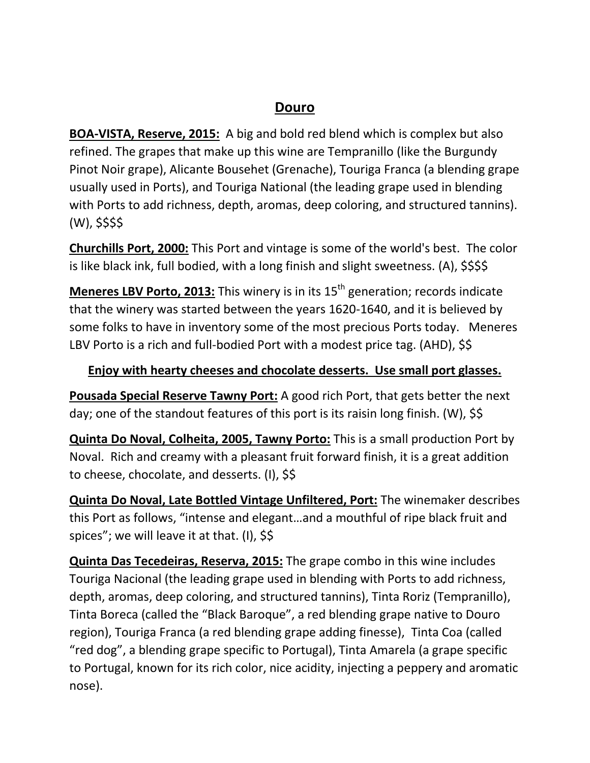### **Douro**

**BOA-VISTA, Reserve, 2015:** A big and bold red blend which is complex but also refined. The grapes that make up this wine are Tempranillo (like the Burgundy Pinot Noir grape), Alicante Bousehet (Grenache), Touriga Franca (a blending grape usually used in Ports), and Touriga National (the leading grape used in blending with Ports to add richness, depth, aromas, deep coloring, and structured tannins). (W), \$\$\$\$

**Churchills Port, 2000:** This Port and vintage is some of the world's best. The color is like black ink, full bodied, with a long finish and slight sweetness. (A), \$\$\$\$

**Meneres LBV Porto, 2013:** This winery is in its 15<sup>th</sup> generation; records indicate that the winery was started between the years 1620-1640, and it is believed by some folks to have in inventory some of the most precious Ports today. Meneres LBV Porto is a rich and full-bodied Port with a modest price tag. (AHD), \$\$

#### **Enjoy with hearty cheeses and chocolate desserts. Use small port glasses.**

**Pousada Special Reserve Tawny Port:** A good rich Port, that gets better the next day; one of the standout features of this port is its raisin long finish. (W), \$\$

**Quinta Do Noval, Colheita, 2005, Tawny Porto:** This is a small production Port by Noval. Rich and creamy with a pleasant fruit forward finish, it is a great addition to cheese, chocolate, and desserts. (I), \$\$

**Quinta Do Noval, Late Bottled Vintage Unfiltered, Port:** The winemaker describes this Port as follows, "intense and elegant…and a mouthful of ripe black fruit and spices"; we will leave it at that. (I), \$\$

**Quinta Das Tecedeiras, Reserva, 2015:** The grape combo in this wine includes Touriga Nacional (the leading grape used in blending with Ports to add richness, depth, aromas, deep coloring, and structured tannins), Tinta Roriz (Tempranillo), Tinta Boreca (called the "Black Baroque", a red blending grape native to Douro region), Touriga Franca (a red blending grape adding finesse), Tinta Coa (called "red dog", a blending grape specific to Portugal), Tinta Amarela (a grape specific to Portugal, known for its rich color, nice acidity, injecting a peppery and aromatic nose).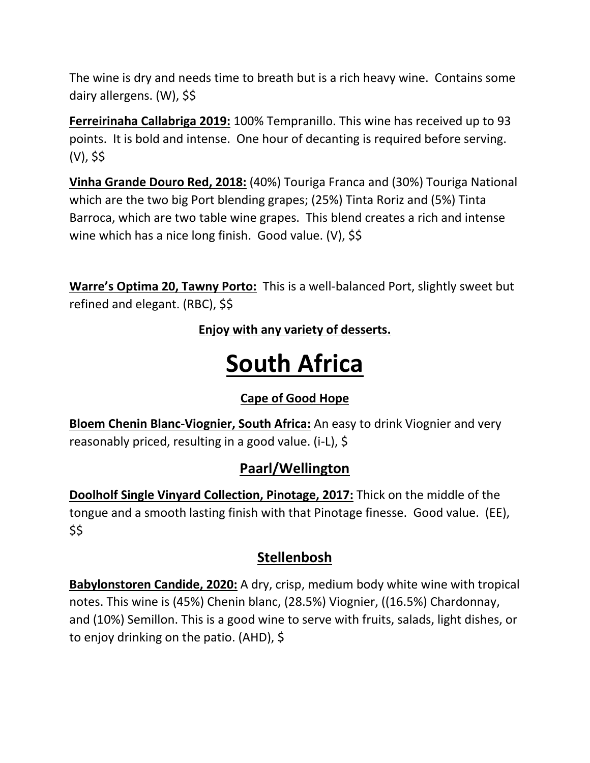The wine is dry and needs time to breath but is a rich heavy wine. Contains some dairy allergens. (W), \$\$

**Ferreirinaha Callabriga 2019:** 100% Tempranillo. This wine has received up to 93 points. It is bold and intense. One hour of decanting is required before serving. (V), \$\$

**Vinha Grande Douro Red, 2018:** (40%) Touriga Franca and (30%) Touriga National which are the two big Port blending grapes; (25%) Tinta Roriz and (5%) Tinta Barroca, which are two table wine grapes. This blend creates a rich and intense wine which has a nice long finish. Good value. (V), \$\$

**Warre's Optima 20, Tawny Porto:** This is a well-balanced Port, slightly sweet but refined and elegant. (RBC), \$\$

**Enjoy with any variety of desserts.**

# **South Africa**

## **Cape of Good Hope**

**Bloem Chenin Blanc-Viognier, South Africa:** An easy to drink Viognier and very reasonably priced, resulting in a good value. (i-L), \$

## **Paarl/Wellington**

**Doolholf Single Vinyard Collection, Pinotage, 2017:** Thick on the middle of the tongue and a smooth lasting finish with that Pinotage finesse. Good value. (EE), \$\$

## **Stellenbosh**

**Babylonstoren Candide, 2020:** A dry, crisp, medium body white wine with tropical notes. This wine is (45%) Chenin blanc, (28.5%) Viognier, ((16.5%) Chardonnay, and (10%) Semillon. This is a good wine to serve with fruits, salads, light dishes, or to enjoy drinking on the patio. (AHD), \$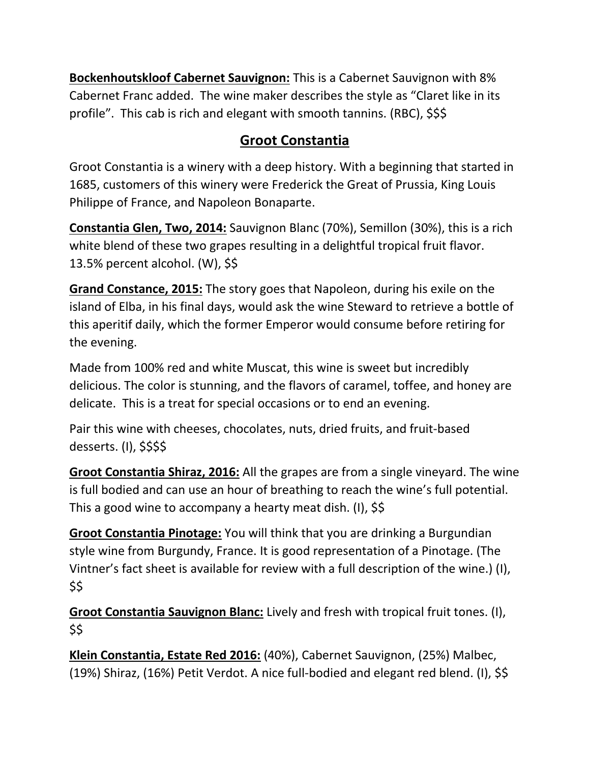**Bockenhoutskloof Cabernet Sauvignon:** This is a Cabernet Sauvignon with 8% Cabernet Franc added. The wine maker describes the style as "Claret like in its profile". This cab is rich and elegant with smooth tannins. (RBC), \$\$\$

## **Groot Constantia**

Groot Constantia is a winery with a deep history. With a beginning that started in 1685, customers of this winery were Frederick the Great of Prussia, King Louis Philippe of France, and Napoleon Bonaparte.

**Constantia Glen, Two, 2014:** Sauvignon Blanc (70%), Semillon (30%), this is a rich white blend of these two grapes resulting in a delightful tropical fruit flavor. 13.5% percent alcohol. (W), \$\$

**Grand Constance, 2015:** The story goes that Napoleon, during his exile on the island of Elba, in his final days, would ask the wine Steward to retrieve a bottle of this aperitif daily, which the former Emperor would consume before retiring for the evening.

Made from 100% red and white Muscat, this wine is sweet but incredibly delicious. The color is stunning, and the flavors of caramel, toffee, and honey are delicate. This is a treat for special occasions or to end an evening.

Pair this wine with cheeses, chocolates, nuts, dried fruits, and fruit-based desserts. (I), \$\$\$\$

**Groot Constantia Shiraz, 2016:** All the grapes are from a single vineyard. The wine is full bodied and can use an hour of breathing to reach the wine's full potential. This a good wine to accompany a hearty meat dish. (I), \$\$

**Groot Constantia Pinotage:** You will think that you are drinking a Burgundian style wine from Burgundy, France. It is good representation of a Pinotage. (The Vintner's fact sheet is available for review with a full description of the wine.) (I), \$\$

**Groot Constantia Sauvignon Blanc:** Lively and fresh with tropical fruit tones. (I), \$\$

**Klein Constantia, Estate Red 2016:** (40%), Cabernet Sauvignon, (25%) Malbec, (19%) Shiraz, (16%) Petit Verdot. A nice full-bodied and elegant red blend. (I), \$\$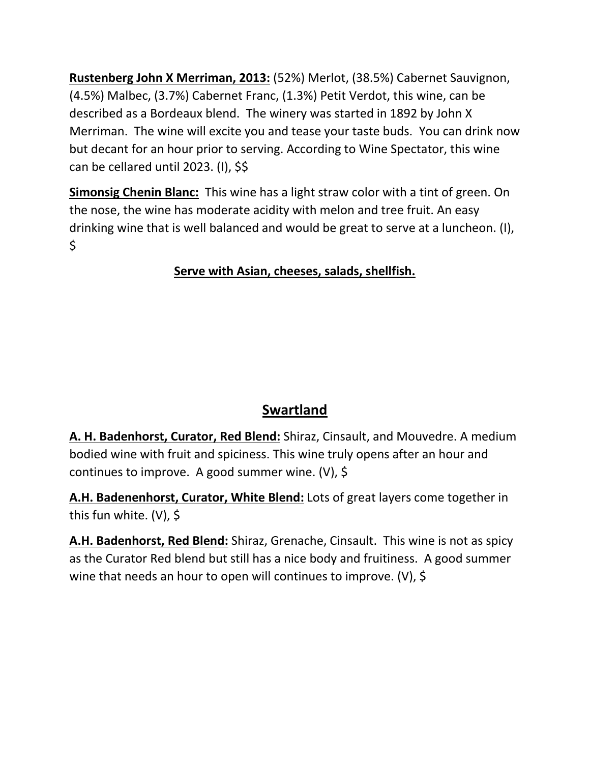**Rustenberg John X Merriman, 2013:** (52%) Merlot, (38.5%) Cabernet Sauvignon, (4.5%) Malbec, (3.7%) Cabernet Franc, (1.3%) Petit Verdot, this wine, can be described as a Bordeaux blend. The winery was started in 1892 by John X Merriman. The wine will excite you and tease your taste buds. You can drink now but decant for an hour prior to serving. According to Wine Spectator, this wine can be cellared until 2023. (I), \$\$

**Simonsig Chenin Blanc:** This wine has a light straw color with a tint of green. On the nose, the wine has moderate acidity with melon and tree fruit. An easy drinking wine that is well balanced and would be great to serve at a luncheon. (I),  $\zeta$ 

### **Serve with Asian, cheeses, salads, shellfish.**

# **Swartland**

**A. H. Badenhorst, Curator, Red Blend:** Shiraz, Cinsault, and Mouvedre. A medium bodied wine with fruit and spiciness. This wine truly opens after an hour and continues to improve. A good summer wine. (V), \$

**A.H. Badenenhorst, Curator, White Blend:** Lots of great layers come together in this fun white. (V), \$

**A.H. Badenhorst, Red Blend:** Shiraz, Grenache, Cinsault. This wine is not as spicy as the Curator Red blend but still has a nice body and fruitiness. A good summer wine that needs an hour to open will continues to improve. (V), \$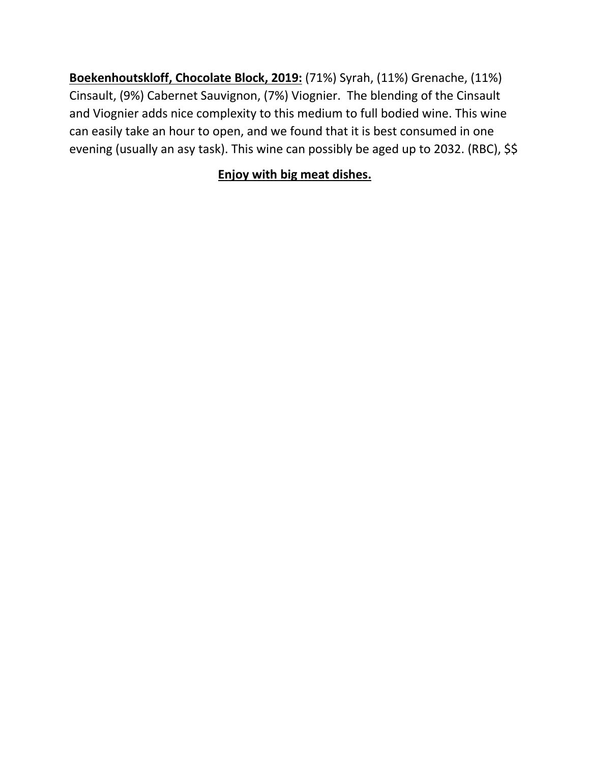**Boekenhoutskloff, Chocolate Block, 2019:** (71%) Syrah, (11%) Grenache, (11%) Cinsault, (9%) Cabernet Sauvignon, (7%) Viognier. The blending of the Cinsault and Viognier adds nice complexity to this medium to full bodied wine. This wine can easily take an hour to open, and we found that it is best consumed in one evening (usually an asy task). This wine can possibly be aged up to 2032. (RBC), \$\$

### **Enjoy with big meat dishes.**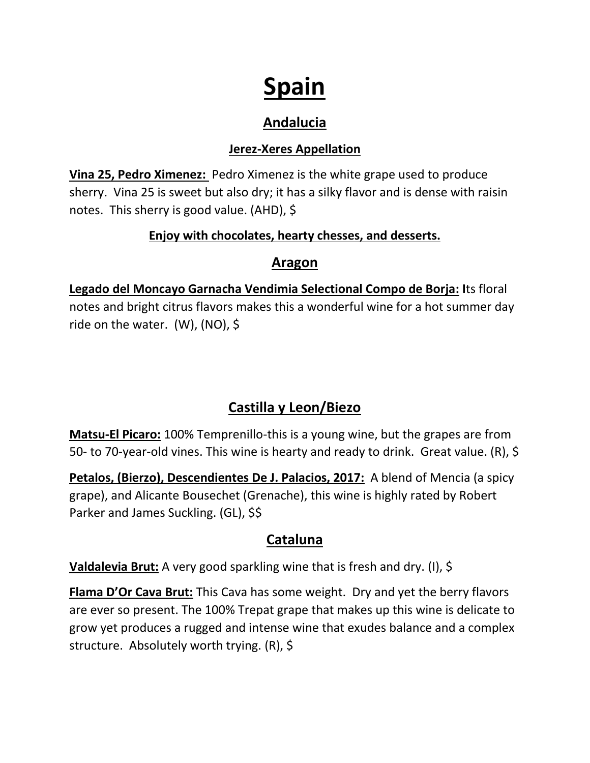# **Spain**

# **Andalucia**

#### **Jerez-Xeres Appellation**

**Vina 25, Pedro Ximenez:** Pedro Ximenez is the white grape used to produce sherry. Vina 25 is sweet but also dry; it has a silky flavor and is dense with raisin notes. This sherry is good value. (AHD), \$

#### **Enjoy with chocolates, hearty chesses, and desserts.**

### **Aragon**

**Legado del Moncayo Garnacha Vendimia Selectional Compo de Borja: I**ts floral notes and bright citrus flavors makes this a wonderful wine for a hot summer day ride on the water. (W), (NO), \$

# **Castilla y Leon/Biezo**

**Matsu-El Picaro:** 100% Temprenillo-this is a young wine, but the grapes are from 50- to 70-year-old vines. This wine is hearty and ready to drink. Great value. (R), \$

**Petalos, (Bierzo), Descendientes De J. Palacios, 2017:** A blend of Mencia (a spicy grape), and Alicante Bousechet (Grenache), this wine is highly rated by Robert Parker and James Suckling. (GL), \$\$

## **Cataluna**

**Valdalevia Brut:** A very good sparkling wine that is fresh and dry. (I), \$

**Flama D'Or Cava Brut:** This Cava has some weight. Dry and yet the berry flavors are ever so present. The 100% Trepat grape that makes up this wine is delicate to grow yet produces a rugged and intense wine that exudes balance and a complex structure. Absolutely worth trying. (R), \$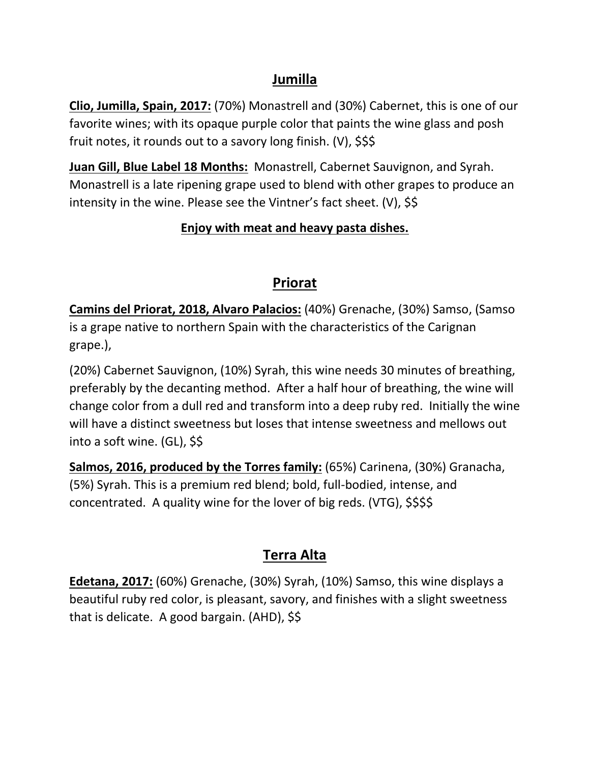#### **Jumilla**

**Clio, Jumilla, Spain, 2017:** (70%) Monastrell and (30%) Cabernet, this is one of our favorite wines; with its opaque purple color that paints the wine glass and posh fruit notes, it rounds out to a savory long finish. (V), \$\$\$

**Juan Gill, Blue Label 18 Months:** Monastrell, Cabernet Sauvignon, and Syrah. Monastrell is a late ripening grape used to blend with other grapes to produce an intensity in the wine. Please see the Vintner's fact sheet. (V), \$\$

#### **Enjoy with meat and heavy pasta dishes.**

## **Priorat**

**Camins del Priorat, 2018, Alvaro Palacios:** (40%) Grenache, (30%) Samso, (Samso is a grape native to northern Spain with the characteristics of the Carignan grape.),

(20%) Cabernet Sauvignon, (10%) Syrah, this wine needs 30 minutes of breathing, preferably by the decanting method. After a half hour of breathing, the wine will change color from a dull red and transform into a deep ruby red. Initially the wine will have a distinct sweetness but loses that intense sweetness and mellows out into a soft wine. (GL), \$\$

**Salmos, 2016, produced by the Torres family:** (65%) Carinena, (30%) Granacha, (5%) Syrah. This is a premium red blend; bold, full-bodied, intense, and concentrated. A quality wine for the lover of big reds. (VTG),  $$$ \$\$\$

## **Terra Alta**

**Edetana, 2017:** (60%) Grenache, (30%) Syrah, (10%) Samso, this wine displays a beautiful ruby red color, is pleasant, savory, and finishes with a slight sweetness that is delicate. A good bargain. (AHD), \$\$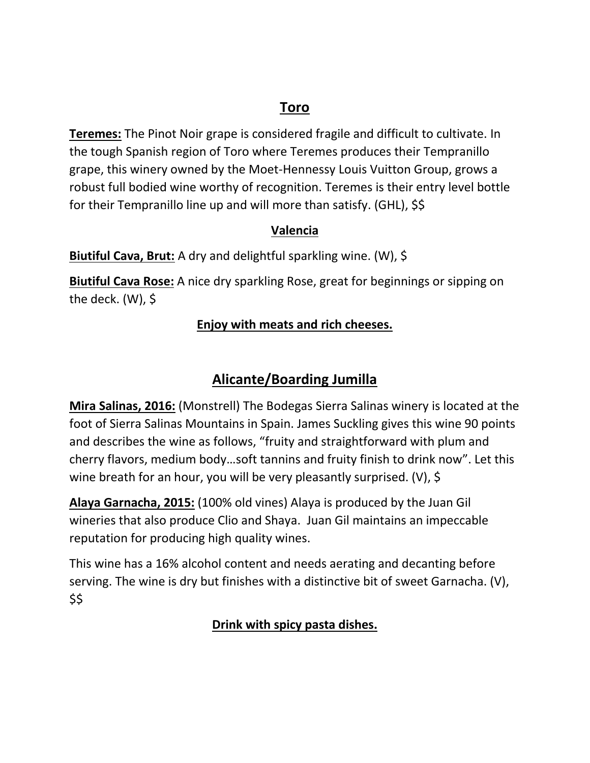## **Toro**

**Teremes:** The Pinot Noir grape is considered fragile and difficult to cultivate. In the tough Spanish region of Toro where Teremes produces their Tempranillo grape, this winery owned by the Moet-Hennessy Louis Vuitton Group, grows a robust full bodied wine worthy of recognition. Teremes is their entry level bottle for their Tempranillo line up and will more than satisfy. (GHL), \$\$

#### **Valencia**

**Biutiful Cava, Brut:** A dry and delightful sparkling wine. (W), \$

**Biutiful Cava Rose:** A nice dry sparkling Rose, great for beginnings or sipping on the deck.  $(W)$ , \$

#### **Enjoy with meats and rich cheeses.**

## **Alicante/Boarding Jumilla**

**Mira Salinas, 2016:** (Monstrell) The Bodegas Sierra Salinas winery is located at the foot of Sierra Salinas Mountains in Spain. James Suckling gives this wine 90 points and describes the wine as follows, "fruity and straightforward with plum and cherry flavors, medium body…soft tannins and fruity finish to drink now". Let this wine breath for an hour, you will be very pleasantly surprised. (V), \$

**Alaya Garnacha, 2015:** (100% old vines) Alaya is produced by the Juan Gil wineries that also produce Clio and Shaya. Juan Gil maintains an impeccable reputation for producing high quality wines.

This wine has a 16% alcohol content and needs aerating and decanting before serving. The wine is dry but finishes with a distinctive bit of sweet Garnacha. (V), \$\$

#### **Drink with spicy pasta dishes.**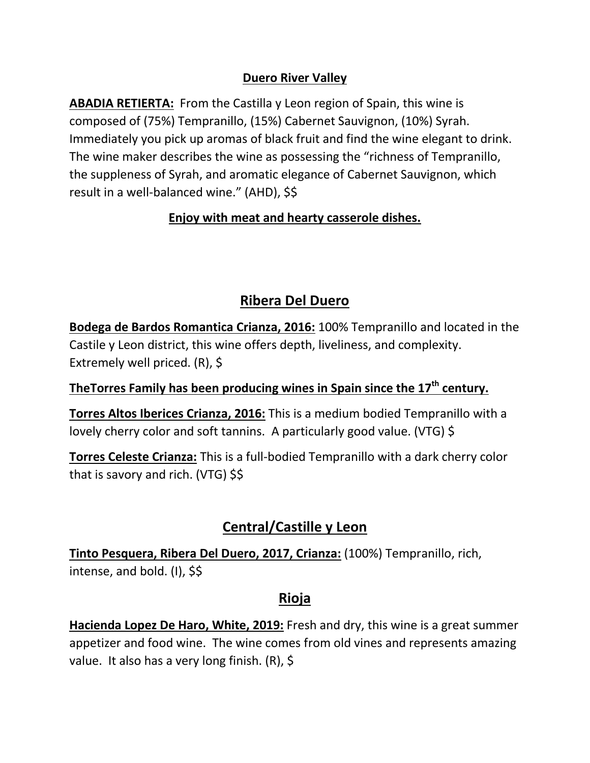#### **Duero River Valley**

**ABADIA RETIERTA:** From the Castilla y Leon region of Spain, this wine is composed of (75%) Tempranillo, (15%) Cabernet Sauvignon, (10%) Syrah. Immediately you pick up aromas of black fruit and find the wine elegant to drink. The wine maker describes the wine as possessing the "richness of Tempranillo, the suppleness of Syrah, and aromatic elegance of Cabernet Sauvignon, which result in a well-balanced wine." (AHD), \$\$

#### **Enjoy with meat and hearty casserole dishes.**

## **Ribera Del Duero**

**Bodega de Bardos Romantica Crianza, 2016:** 100% Tempranillo and located in the Castile y Leon district, this wine offers depth, liveliness, and complexity. Extremely well priced. (R), \$

## **TheTorres Family has been producing wines in Spain since the 17th century.**

**Torres Altos Iberices Crianza, 2016:** This is a medium bodied Tempranillo with a lovely cherry color and soft tannins. A particularly good value. (VTG) \$

**Torres Celeste Crianza:** This is a full-bodied Tempranillo with a dark cherry color that is savory and rich. (VTG) \$\$

## **Central/Castille y Leon**

**Tinto Pesquera, Ribera Del Duero, 2017, Crianza:** (100%) Tempranillo, rich, intense, and bold. (I), \$\$

## **Rioja**

**Hacienda Lopez De Haro, White, 2019:** Fresh and dry, this wine is a great summer appetizer and food wine. The wine comes from old vines and represents amazing value. It also has a very long finish. (R), \$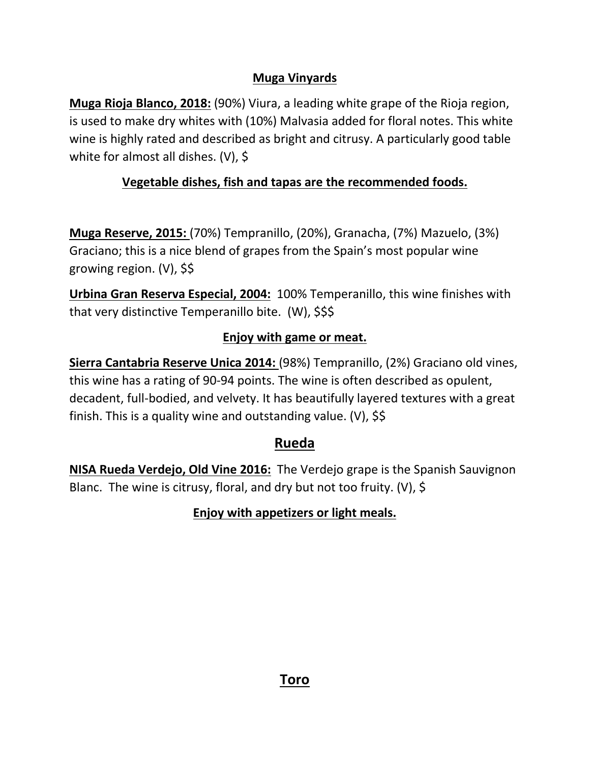#### **Muga Vinyards**

**Muga Rioja Blanco, 2018:** (90%) Viura, a leading white grape of the Rioja region, is used to make dry whites with (10%) Malvasia added for floral notes. This white wine is highly rated and described as bright and citrusy. A particularly good table white for almost all dishes. (V), \$

#### **Vegetable dishes, fish and tapas are the recommended foods.**

**Muga Reserve, 2015:** (70%) Tempranillo, (20%), Granacha, (7%) Mazuelo, (3%) Graciano; this is a nice blend of grapes from the Spain's most popular wine growing region. (V), \$\$

**Urbina Gran Reserva Especial, 2004:** 100% Temperanillo, this wine finishes with that very distinctive Temperanillo bite. (W), \$\$\$

#### **Enjoy with game or meat.**

**Sierra Cantabria Reserve Unica 2014:** (98%) Tempranillo, (2%) Graciano old vines, this wine has a rating of 90-94 points. The wine is often described as opulent, decadent, full-bodied, and velvety. It has beautifully layered textures with a great finish. This is a quality wine and outstanding value. (V),  $\frac{1}{5}$ 

#### **Rueda**

**NISA Rueda Verdejo, Old Vine 2016:** The Verdejo grape is the Spanish Sauvignon Blanc. The wine is citrusy, floral, and dry but not too fruity. (V), \$

#### **Enjoy with appetizers or light meals.**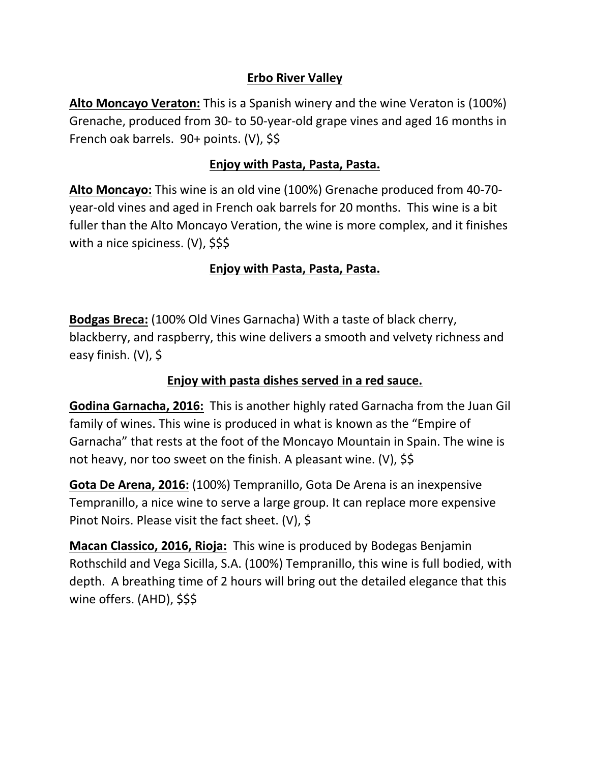#### **Erbo River Valley**

**Alto Moncayo Veraton:** This is a Spanish winery and the wine Veraton is (100%) Grenache, produced from 30- to 50-year-old grape vines and aged 16 months in French oak barrels. 90+ points. (V), \$\$

#### **Enjoy with Pasta, Pasta, Pasta.**

**Alto Moncayo:** This wine is an old vine (100%) Grenache produced from 40-70 year-old vines and aged in French oak barrels for 20 months. This wine is a bit fuller than the Alto Moncayo Veration, the wine is more complex, and it finishes with a nice spiciness. (V), \$\$\$

#### **Enjoy with Pasta, Pasta, Pasta.**

**Bodgas Breca:** (100% Old Vines Garnacha) With a taste of black cherry, blackberry, and raspberry, this wine delivers a smooth and velvety richness and easy finish. (V), \$

#### **Enjoy with pasta dishes served in a red sauce.**

**Godina Garnacha, 2016:** This is another highly rated Garnacha from the Juan Gil family of wines. This wine is produced in what is known as the "Empire of Garnacha" that rests at the foot of the Moncayo Mountain in Spain. The wine is not heavy, nor too sweet on the finish. A pleasant wine. (V), \$\$

**Gota De Arena, 2016:** (100%) Tempranillo, Gota De Arena is an inexpensive Tempranillo, a nice wine to serve a large group. It can replace more expensive Pinot Noirs. Please visit the fact sheet. (V), \$

**Macan Classico, 2016, Rioja:** This wine is produced by Bodegas Benjamin Rothschild and Vega Sicilla, S.A. (100%) Tempranillo, this wine is full bodied, with depth. A breathing time of 2 hours will bring out the detailed elegance that this wine offers. (AHD), \$\$\$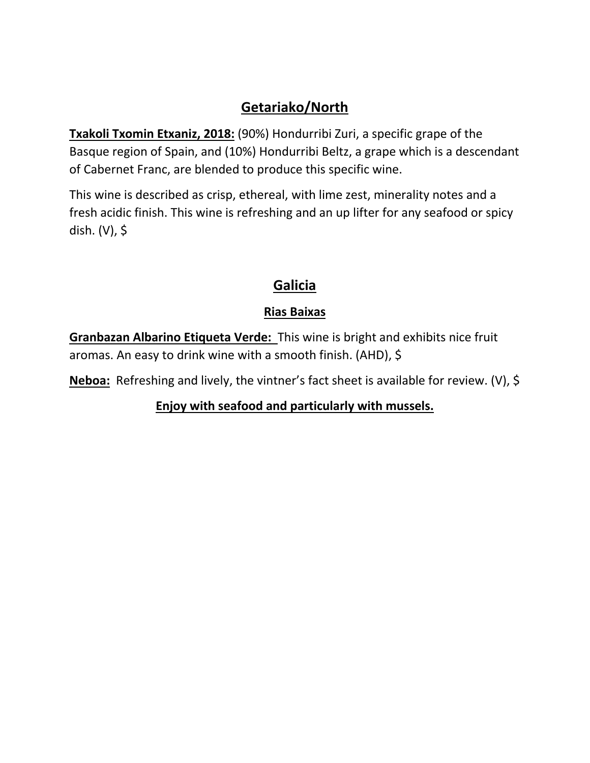## **Getariako/North**

**Txakoli Txomin Etxaniz, 2018:** (90%) Hondurribi Zuri, a specific grape of the Basque region of Spain, and (10%) Hondurribi Beltz, a grape which is a descendant of Cabernet Franc, are blended to produce this specific wine.

This wine is described as crisp, ethereal, with lime zest, minerality notes and a fresh acidic finish. This wine is refreshing and an up lifter for any seafood or spicy dish. (V), \$

## **Galicia**

## **Rias Baixas**

**Granbazan Albarino Etiqueta Verde:** This wine is bright and exhibits nice fruit aromas. An easy to drink wine with a smooth finish. (AHD), \$

**Neboa:** Refreshing and lively, the vintner's fact sheet is available for review. (V), \$

**Enjoy with seafood and particularly with mussels.**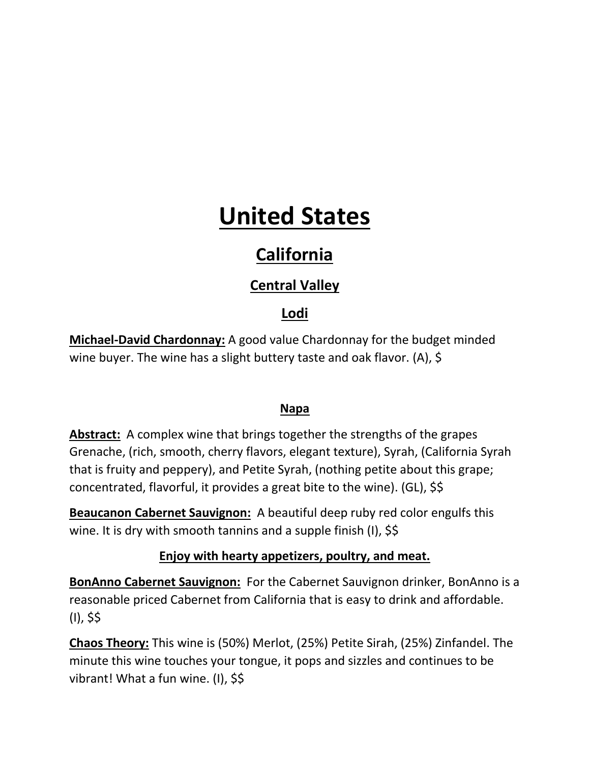# **United States**

# **California**

# **Central Valley**

## **Lodi**

**Michael-David Chardonnay:** A good value Chardonnay for the budget minded wine buyer. The wine has a slight buttery taste and oak flavor. (A), \$

#### **Napa**

**Abstract:** A complex wine that brings together the strengths of the grapes Grenache, (rich, smooth, cherry flavors, elegant texture), Syrah, (California Syrah that is fruity and peppery), and Petite Syrah, (nothing petite about this grape; concentrated, flavorful, it provides a great bite to the wine). (GL), \$\$

**Beaucanon Cabernet Sauvignon:** A beautiful deep ruby red color engulfs this wine. It is dry with smooth tannins and a supple finish (I), \$\$

#### **Enjoy with hearty appetizers, poultry, and meat.**

**BonAnno Cabernet Sauvignon:** For the Cabernet Sauvignon drinker, BonAnno is a reasonable priced Cabernet from California that is easy to drink and affordable. (I), \$\$

**Chaos Theory:** This wine is (50%) Merlot, (25%) Petite Sirah, (25%) Zinfandel. The minute this wine touches your tongue, it pops and sizzles and continues to be vibrant! What a fun wine. (I), \$\$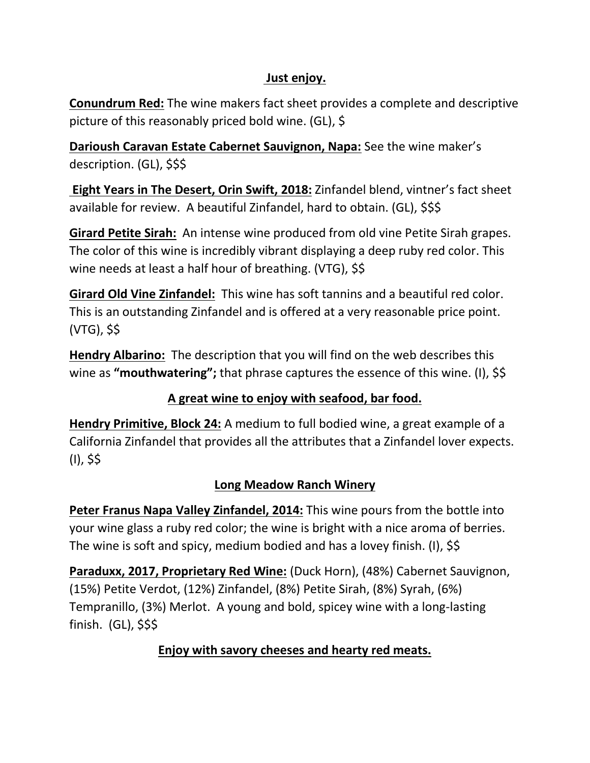#### **Just enjoy.**

**Conundrum Red:** The wine makers fact sheet provides a complete and descriptive picture of this reasonably priced bold wine. (GL), \$

**Darioush Caravan Estate Cabernet Sauvignon, Napa:** See the wine maker's description. (GL), \$\$\$

**Eight Years in The Desert, Orin Swift, 2018:** Zinfandel blend, vintner's fact sheet available for review. A beautiful Zinfandel, hard to obtain. (GL), \$\$\$

**Girard Petite Sirah:** An intense wine produced from old vine Petite Sirah grapes. The color of this wine is incredibly vibrant displaying a deep ruby red color. This wine needs at least a half hour of breathing. (VTG), \$\$

**Girard Old Vine Zinfandel:** This wine has soft tannins and a beautiful red color. This is an outstanding Zinfandel and is offered at a very reasonable price point. (VTG), \$\$

**Hendry Albarino:** The description that you will find on the web describes this wine as **"mouthwatering";** that phrase captures the essence of this wine. (I), \$\$

#### **A great wine to enjoy with seafood, bar food.**

**Hendry Primitive, Block 24:** A medium to full bodied wine, a great example of a California Zinfandel that provides all the attributes that a Zinfandel lover expects. (I), \$\$

#### **Long Meadow Ranch Winery**

**Peter Franus Napa Valley Zinfandel, 2014:** This wine pours from the bottle into your wine glass a ruby red color; the wine is bright with a nice aroma of berries. The wine is soft and spicy, medium bodied and has a lovey finish. (I), \$\$

**Paraduxx, 2017, Proprietary Red Wine:** (Duck Horn), (48%) Cabernet Sauvignon, (15%) Petite Verdot, (12%) Zinfandel, (8%) Petite Sirah, (8%) Syrah, (6%) Tempranillo, (3%) Merlot. A young and bold, spicey wine with a long-lasting finish. (GL), \$\$\$

## **Enjoy with savory cheeses and hearty red meats.**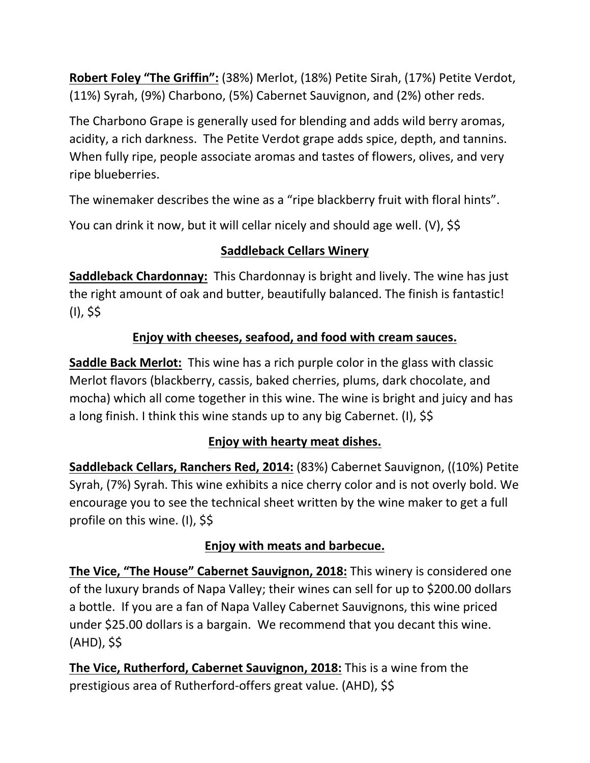**Robert Foley "The Griffin":** (38%) Merlot, (18%) Petite Sirah, (17%) Petite Verdot, (11%) Syrah, (9%) Charbono, (5%) Cabernet Sauvignon, and (2%) other reds.

The Charbono Grape is generally used for blending and adds wild berry aromas, acidity, a rich darkness. The Petite Verdot grape adds spice, depth, and tannins. When fully ripe, people associate aromas and tastes of flowers, olives, and very ripe blueberries.

The winemaker describes the wine as a "ripe blackberry fruit with floral hints".

You can drink it now, but it will cellar nicely and should age well. (V), \$\$

## **Saddleback Cellars Winery**

**Saddleback Chardonnay:** This Chardonnay is bright and lively. The wine has just the right amount of oak and butter, beautifully balanced. The finish is fantastic! (I), \$\$

## **Enjoy with cheeses, seafood, and food with cream sauces.**

**Saddle Back Merlot:** This wine has a rich purple color in the glass with classic Merlot flavors (blackberry, cassis, baked cherries, plums, dark chocolate, and mocha) which all come together in this wine. The wine is bright and juicy and has a long finish. I think this wine stands up to any big Cabernet. (I), \$\$

## **Enjoy with hearty meat dishes.**

**Saddleback Cellars, Ranchers Red, 2014:** (83%) Cabernet Sauvignon, ((10%) Petite Syrah, (7%) Syrah. This wine exhibits a nice cherry color and is not overly bold. We encourage you to see the technical sheet written by the wine maker to get a full profile on this wine. (I), \$\$

#### **Enjoy with meats and barbecue.**

**The Vice, "The House" Cabernet Sauvignon, 2018:** This winery is considered one of the luxury brands of Napa Valley; their wines can sell for up to \$200.00 dollars a bottle. If you are a fan of Napa Valley Cabernet Sauvignons, this wine priced under \$25.00 dollars is a bargain. We recommend that you decant this wine. (AHD), \$\$

**The Vice, Rutherford, Cabernet Sauvignon, 2018:** This is a wine from the prestigious area of Rutherford-offers great value. (AHD), \$\$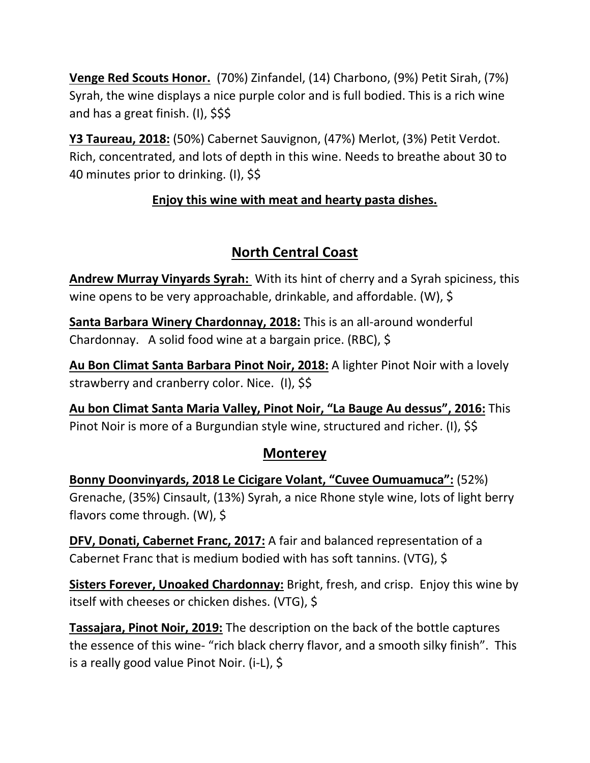**Venge Red Scouts Honor.** (70%) Zinfandel, (14) Charbono, (9%) Petit Sirah, (7%) Syrah, the wine displays a nice purple color and is full bodied. This is a rich wine and has a great finish. (I), \$\$\$

**Y3 Taureau, 2018:** (50%) Cabernet Sauvignon, (47%) Merlot, (3%) Petit Verdot. Rich, concentrated, and lots of depth in this wine. Needs to breathe about 30 to 40 minutes prior to drinking. (I), \$\$

### **Enjoy this wine with meat and hearty pasta dishes.**

# **North Central Coast**

**Andrew Murray Vinyards Syrah:** With its hint of cherry and a Syrah spiciness, this wine opens to be very approachable, drinkable, and affordable. (W), \$

**Santa Barbara Winery Chardonnay, 2018:** This is an all-around wonderful Chardonnay. A solid food wine at a bargain price. (RBC), \$

**Au Bon Climat Santa Barbara Pinot Noir, 2018:** A lighter Pinot Noir with a lovely strawberry and cranberry color. Nice. (I), \$\$

**Au bon Climat Santa Maria Valley, Pinot Noir, "La Bauge Au dessus", 2016:** This Pinot Noir is more of a Burgundian style wine, structured and richer. (I), \$\$

#### **Monterey**

**Bonny Doonvinyards, 2018 Le Cicigare Volant, "Cuvee Oumuamuca":** (52%) Grenache, (35%) Cinsault, (13%) Syrah, a nice Rhone style wine, lots of light berry flavors come through. (W), \$

**DFV, Donati, Cabernet Franc, 2017:** A fair and balanced representation of a Cabernet Franc that is medium bodied with has soft tannins. (VTG), \$

**Sisters Forever, Unoaked Chardonnay:** Bright, fresh, and crisp. Enjoy this wine by itself with cheeses or chicken dishes. (VTG), \$

**Tassajara, Pinot Noir, 2019:** The description on the back of the bottle captures the essence of this wine- "rich black cherry flavor, and a smooth silky finish". This is a really good value Pinot Noir. (i-L), \$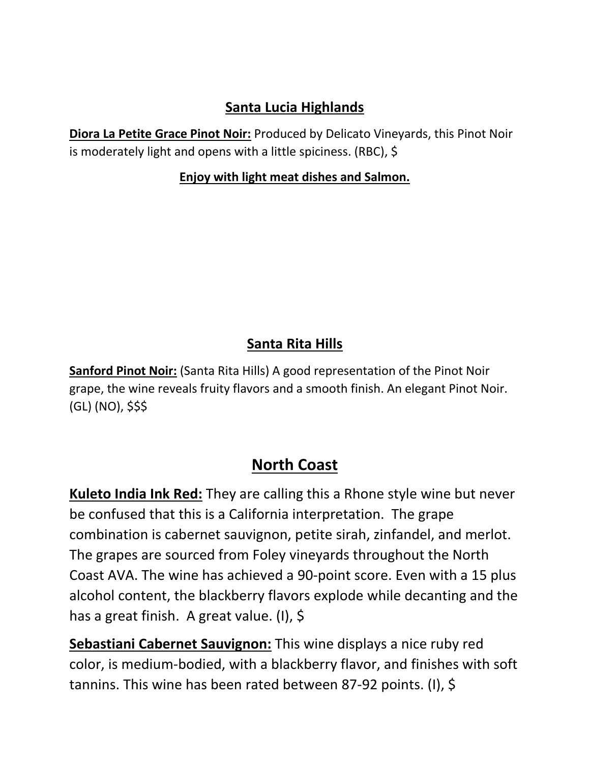## **Santa Lucia Highlands**

**Diora La Petite Grace Pinot Noir:** Produced by Delicato Vineyards, this Pinot Noir is moderately light and opens with a little spiciness. (RBC), \$

#### **Enjoy with light meat dishes and Salmon.**

## **Santa Rita Hills**

**Sanford Pinot Noir:** (Santa Rita Hills) A good representation of the Pinot Noir grape, the wine reveals fruity flavors and a smooth finish. An elegant Pinot Noir. (GL) (NO), \$\$\$

# **North Coast**

**Kuleto India Ink Red:** They are calling this a Rhone style wine but never be confused that this is a California interpretation. The grape combination is cabernet sauvignon, petite sirah, zinfandel, and merlot. The grapes are sourced from Foley vineyards throughout the North Coast AVA. The wine has achieved a 90-point score. Even with a 15 plus alcohol content, the blackberry flavors explode while decanting and the has a great finish. A great value. (I), \$

**Sebastiani Cabernet Sauvignon:** This wine displays a nice ruby red color, is medium-bodied, with a blackberry flavor, and finishes with soft tannins. This wine has been rated between 87-92 points. (I), \$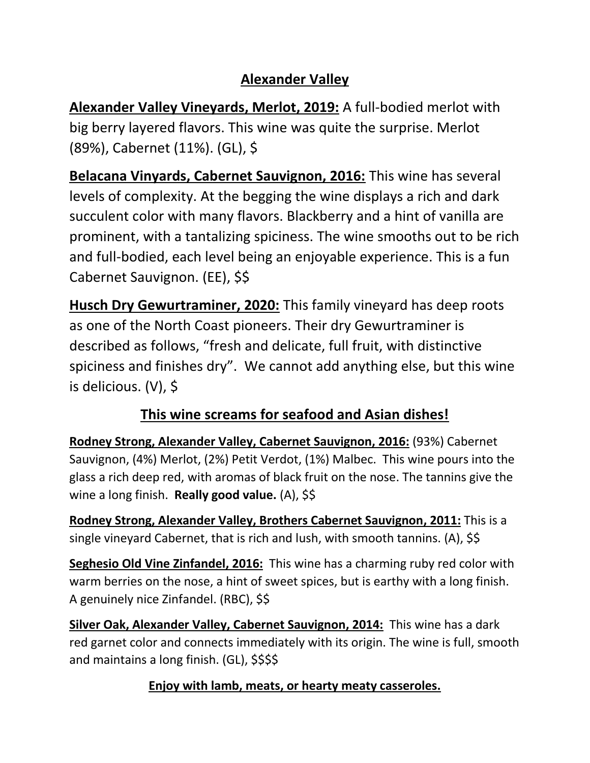## **Alexander Valley**

**Alexander Valley Vineyards, Merlot, 2019:** A full-bodied merlot with big berry layered flavors. This wine was quite the surprise. Merlot (89%), Cabernet (11%). (GL), \$

**Belacana Vinyards, Cabernet Sauvignon, 2016:** This wine has several levels of complexity. At the begging the wine displays a rich and dark succulent color with many flavors. Blackberry and a hint of vanilla are prominent, with a tantalizing spiciness. The wine smooths out to be rich and full-bodied, each level being an enjoyable experience. This is a fun Cabernet Sauvignon. (EE), \$\$

**Husch Dry Gewurtraminer, 2020:** This family vineyard has deep roots as one of the North Coast pioneers. Their dry Gewurtraminer is described as follows, "fresh and delicate, full fruit, with distinctive spiciness and finishes dry". We cannot add anything else, but this wine is delicious. (V), \$

# **This wine screams for seafood and Asian dishes!**

**Rodney Strong, Alexander Valley, Cabernet Sauvignon, 2016:** (93%) Cabernet Sauvignon, (4%) Merlot, (2%) Petit Verdot, (1%) Malbec. This wine pours into the glass a rich deep red, with aromas of black fruit on the nose. The tannins give the wine a long finish. **Really good value.** (A), \$\$

**Rodney Strong, Alexander Valley, Brothers Cabernet Sauvignon, 2011:** This is a single vineyard Cabernet, that is rich and lush, with smooth tannins. (A), \$\$

**Seghesio Old Vine Zinfandel, 2016:** This wine has a charming ruby red color with warm berries on the nose, a hint of sweet spices, but is earthy with a long finish. A genuinely nice Zinfandel. (RBC), \$\$

**Silver Oak, Alexander Valley, Cabernet Sauvignon, 2014:** This wine has a dark red garnet color and connects immediately with its origin. The wine is full, smooth and maintains a long finish. (GL), \$\$\$\$

## **Enjoy with lamb, meats, or hearty meaty casseroles.**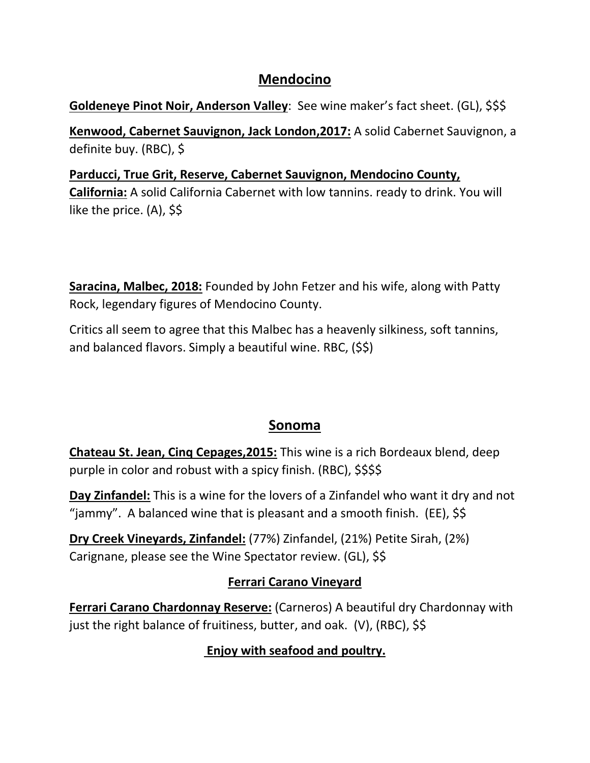### **Mendocino**

#### **Goldeneye Pinot Noir, Anderson Valley**: See wine maker's fact sheet. (GL), \$\$\$

**Kenwood, Cabernet Sauvignon, Jack London,2017:** A solid Cabernet Sauvignon, a definite buy. (RBC), \$

### **Parducci, True Grit, Reserve, Cabernet Sauvignon, Mendocino County, California:** A solid California Cabernet with low tannins. ready to drink. You will like the price. (A), \$\$

**Saracina, Malbec, 2018:** Founded by John Fetzer and his wife, along with Patty Rock, legendary figures of Mendocino County.

Critics all seem to agree that this Malbec has a heavenly silkiness, soft tannins, and balanced flavors. Simply a beautiful wine. RBC, (\$\$)

## **Sonoma**

**Chateau St. Jean, Cinq Cepages,2015:** This wine is a rich Bordeaux blend, deep purple in color and robust with a spicy finish. (RBC), \$\$\$\$

**Day Zinfandel:** This is a wine for the lovers of a Zinfandel who want it dry and not "jammy". A balanced wine that is pleasant and a smooth finish. (EE),  $\frac{1}{5}$ 

**Dry Creek Vineyards, Zinfandel:** (77%) Zinfandel, (21%) Petite Sirah, (2%) Carignane, please see the Wine Spectator review. (GL), \$\$

## **Ferrari Carano Vineyard**

**Ferrari Carano Chardonnay Reserve:** (Carneros) A beautiful dry Chardonnay with just the right balance of fruitiness, butter, and oak. (V), (RBC), \$\$

## **Enjoy with seafood and poultry.**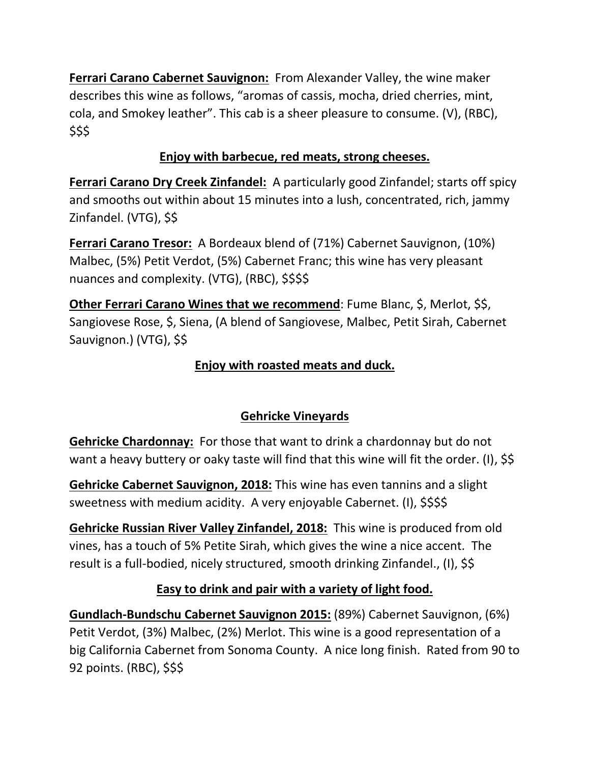**Ferrari Carano Cabernet Sauvignon:** From Alexander Valley, the wine maker describes this wine as follows, "aromas of cassis, mocha, dried cherries, mint, cola, and Smokey leather". This cab is a sheer pleasure to consume. (V), (RBC), \$\$\$

#### **Enjoy with barbecue, red meats, strong cheeses.**

**Ferrari Carano Dry Creek Zinfandel:** A particularly good Zinfandel; starts off spicy and smooths out within about 15 minutes into a lush, concentrated, rich, jammy Zinfandel. (VTG), \$\$

**Ferrari Carano Tresor:** A Bordeaux blend of (71%) Cabernet Sauvignon, (10%) Malbec, (5%) Petit Verdot, (5%) Cabernet Franc; this wine has very pleasant nuances and complexity. (VTG), (RBC), \$\$\$\$

**Other Ferrari Carano Wines that we recommend**: Fume Blanc, \$, Merlot, \$\$, Sangiovese Rose, \$, Siena, (A blend of Sangiovese, Malbec, Petit Sirah, Cabernet Sauvignon.) (VTG), \$\$

### **Enjoy with roasted meats and duck.**

#### **Gehricke Vineyards**

**Gehricke Chardonnay:** For those that want to drink a chardonnay but do not want a heavy buttery or oaky taste will find that this wine will fit the order. (I), \$\$

**Gehricke Cabernet Sauvignon, 2018:** This wine has even tannins and a slight sweetness with medium acidity. A very enjoyable Cabernet. (I), \$\$\$\$

**Gehricke Russian River Valley Zinfandel, 2018:** This wine is produced from old vines, has a touch of 5% Petite Sirah, which gives the wine a nice accent. The result is a full-bodied, nicely structured, smooth drinking Zinfandel., (I), \$\$

#### **Easy to drink and pair with a variety of light food.**

**Gundlach-Bundschu Cabernet Sauvignon 2015:** (89%) Cabernet Sauvignon, (6%) Petit Verdot, (3%) Malbec, (2%) Merlot. This wine is a good representation of a big California Cabernet from Sonoma County. A nice long finish. Rated from 90 to 92 points. (RBC), \$\$\$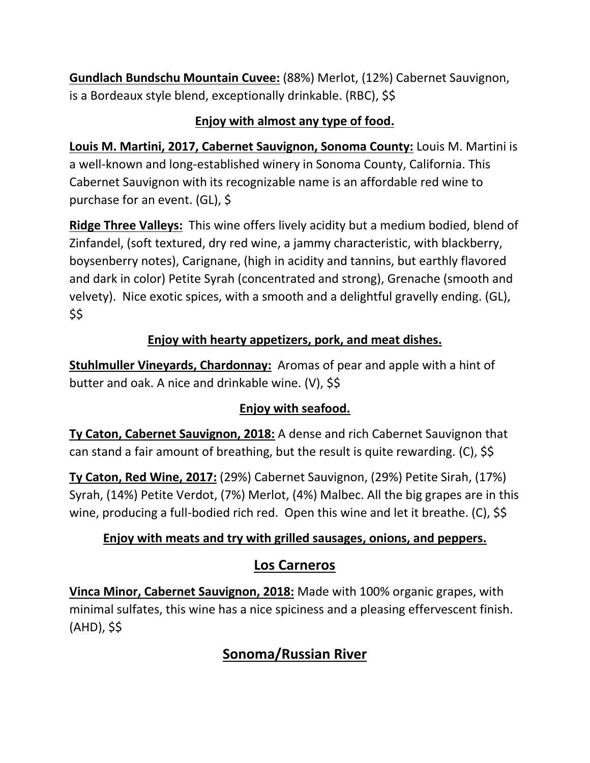**Gundlach Bundschu Mountain Cuvee:** (88%) Merlot, (12%) Cabernet Sauvignon, is a Bordeaux style blend, exceptionally drinkable. (RBC), \$\$

#### **Enjoy with almost any type of food.**

**Louis M. Martini, 2017, Cabernet Sauvignon, Sonoma County:** Louis M. Martini is a well-known and long-established winery in Sonoma County, California. This Cabernet Sauvignon with its recognizable name is an affordable red wine to purchase for an event. (GL), \$

**Ridge Three Valleys:** This wine offers lively acidity but a medium bodied, blend of Zinfandel, (soft textured, dry red wine, a jammy characteristic, with blackberry, boysenberry notes), Carignane, (high in acidity and tannins, but earthly flavored and dark in color) Petite Syrah (concentrated and strong), Grenache (smooth and velvety). Nice exotic spices, with a smooth and a delightful gravelly ending. (GL), \$\$

### **Enjoy with hearty appetizers, pork, and meat dishes.**

**Stuhlmuller Vineyards, Chardonnay:** Aromas of pear and apple with a hint of butter and oak. A nice and drinkable wine. (V), \$\$

## **Enjoy with seafood.**

**Ty Caton, Cabernet Sauvignon, 2018:** A dense and rich Cabernet Sauvignon that can stand a fair amount of breathing, but the result is quite rewarding. (C), \$\$

**Ty Caton, Red Wine, 2017:** (29%) Cabernet Sauvignon, (29%) Petite Sirah, (17%) Syrah, (14%) Petite Verdot, (7%) Merlot, (4%) Malbec. All the big grapes are in this wine, producing a full-bodied rich red. Open this wine and let it breathe. (C), \$\$

#### **Enjoy with meats and try with grilled sausages, onions, and peppers.**

## **Los Carneros**

**Vinca Minor, Cabernet Sauvignon, 2018:** Made with 100% organic grapes, with minimal sulfates, this wine has a nice spiciness and a pleasing effervescent finish. (AHD), \$\$

# **Sonoma/Russian River**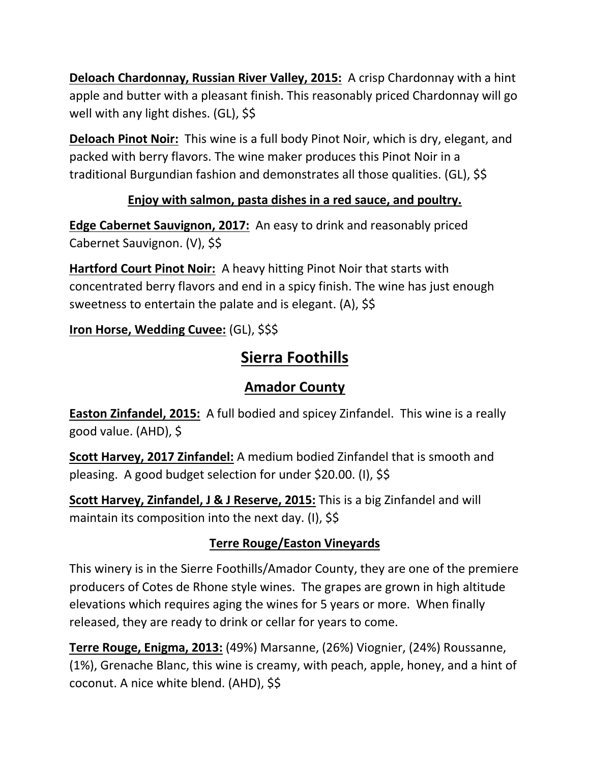**Deloach Chardonnay, Russian River Valley, 2015:** A crisp Chardonnay with a hint apple and butter with a pleasant finish. This reasonably priced Chardonnay will go well with any light dishes. (GL), \$\$

**Deloach Pinot Noir:** This wine is a full body Pinot Noir, which is dry, elegant, and packed with berry flavors. The wine maker produces this Pinot Noir in a traditional Burgundian fashion and demonstrates all those qualities. (GL), \$\$

### **Enjoy with salmon, pasta dishes in a red sauce, and poultry.**

**Edge Cabernet Sauvignon, 2017:** An easy to drink and reasonably priced Cabernet Sauvignon. (V), \$\$

**Hartford Court Pinot Noir:** A heavy hitting Pinot Noir that starts with concentrated berry flavors and end in a spicy finish. The wine has just enough sweetness to entertain the palate and is elegant. (A), \$\$

**Iron Horse, Wedding Cuvee:** (GL), \$\$\$

# **Sierra Foothills**

# **Amador County**

**Easton Zinfandel, 2015:** A full bodied and spicey Zinfandel. This wine is a really good value. (AHD), \$

**Scott Harvey, 2017 Zinfandel:** A medium bodied Zinfandel that is smooth and pleasing. A good budget selection for under \$20.00. (I), \$\$

**Scott Harvey, Zinfandel, J & J Reserve, 2015:** This is a big Zinfandel and will maintain its composition into the next day. (I), \$\$

## **Terre Rouge/Easton Vineyards**

This winery is in the Sierre Foothills/Amador County, they are one of the premiere producers of Cotes de Rhone style wines. The grapes are grown in high altitude elevations which requires aging the wines for 5 years or more. When finally released, they are ready to drink or cellar for years to come.

**Terre Rouge, Enigma, 2013:** (49%) Marsanne, (26%) Viognier, (24%) Roussanne, (1%), Grenache Blanc, this wine is creamy, with peach, apple, honey, and a hint of coconut. A nice white blend. (AHD), \$\$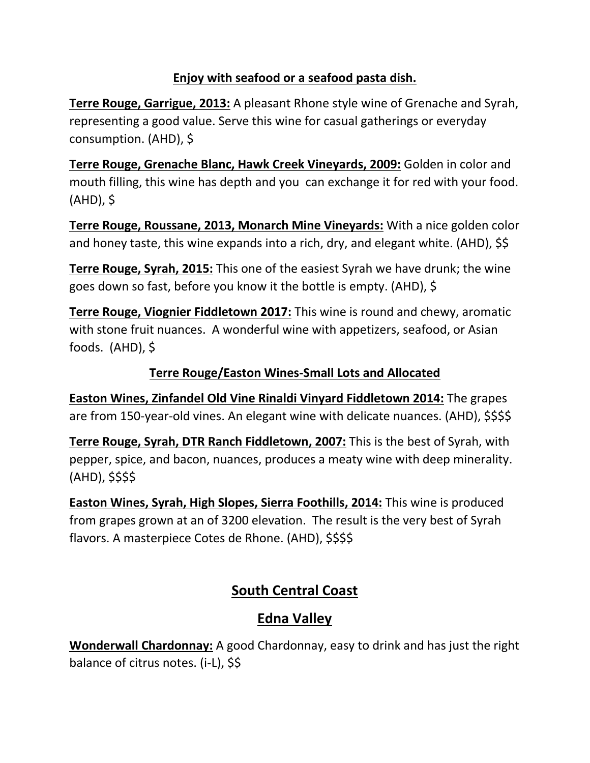#### **Enjoy with seafood or a seafood pasta dish.**

**Terre Rouge, Garrigue, 2013:** A pleasant Rhone style wine of Grenache and Syrah, representing a good value. Serve this wine for casual gatherings or everyday consumption. (AHD), \$

**Terre Rouge, Grenache Blanc, Hawk Creek Vineyards, 2009:** Golden in color and mouth filling, this wine has depth and you can exchange it for red with your food. (AHD), \$

**Terre Rouge, Roussane, 2013, Monarch Mine Vineyards:** With a nice golden color and honey taste, this wine expands into a rich, dry, and elegant white. (AHD), \$\$

**Terre Rouge, Syrah, 2015:** This one of the easiest Syrah we have drunk; the wine goes down so fast, before you know it the bottle is empty. (AHD), \$

**Terre Rouge, Viognier Fiddletown 2017:** This wine is round and chewy, aromatic with stone fruit nuances. A wonderful wine with appetizers, seafood, or Asian foods. (AHD), \$

#### **Terre Rouge/Easton Wines-Small Lots and Allocated**

**Easton Wines, Zinfandel Old Vine Rinaldi Vinyard Fiddletown 2014:** The grapes are from 150-year-old vines. An elegant wine with delicate nuances. (AHD), \$\$\$\$

**Terre Rouge, Syrah, DTR Ranch Fiddletown, 2007:** This is the best of Syrah, with pepper, spice, and bacon, nuances, produces a meaty wine with deep minerality. (AHD), \$\$\$\$

**Easton Wines, Syrah, High Slopes, Sierra Foothills, 2014:** This wine is produced from grapes grown at an of 3200 elevation. The result is the very best of Syrah flavors. A masterpiece Cotes de Rhone. (AHD), \$\$\$\$

## **South Central Coast**

## **Edna Valley**

**Wonderwall Chardonnay:** A good Chardonnay, easy to drink and has just the right balance of citrus notes. (i-L), \$\$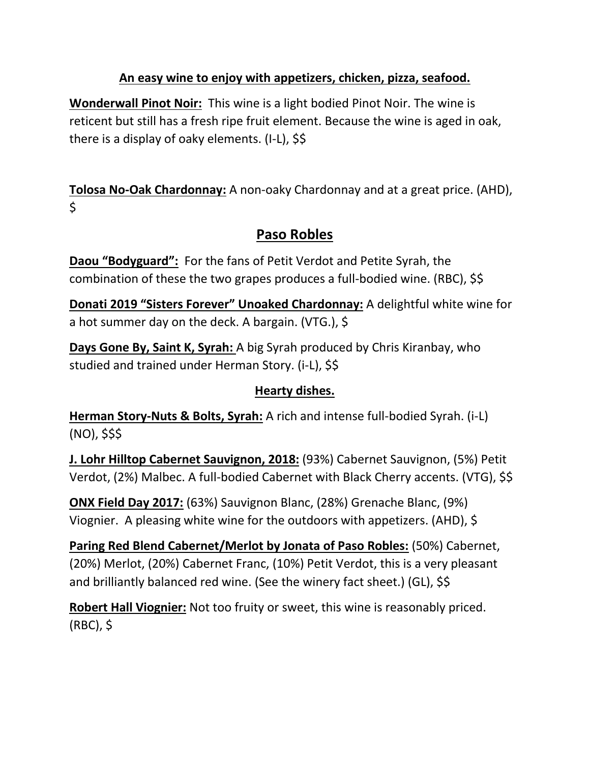#### **An easy wine to enjoy with appetizers, chicken, pizza, seafood.**

**Wonderwall Pinot Noir:** This wine is a light bodied Pinot Noir. The wine is reticent but still has a fresh ripe fruit element. Because the wine is aged in oak, there is a display of oaky elements. (I-L), \$\$

**Tolosa No-Oak Chardonnay:** A non-oaky Chardonnay and at a great price. (AHD),  $\mathsf{\dot{S}}$ 

## **Paso Robles**

**Daou "Bodyguard":** For the fans of Petit Verdot and Petite Syrah, the combination of these the two grapes produces a full-bodied wine. (RBC), \$\$

**Donati 2019 "Sisters Forever" Unoaked Chardonnay:** A delightful white wine for a hot summer day on the deck. A bargain. (VTG.), \$

**Days Gone By, Saint K, Syrah:** A big Syrah produced by Chris Kiranbay, who studied and trained under Herman Story. (i-L), \$\$

#### **Hearty dishes.**

**Herman Story-Nuts & Bolts, Syrah:** A rich and intense full-bodied Syrah. (i-L) (NO), \$\$\$

**J. Lohr Hilltop Cabernet Sauvignon, 2018:** (93%) Cabernet Sauvignon, (5%) Petit Verdot, (2%) Malbec. A full-bodied Cabernet with Black Cherry accents. (VTG), \$\$

**ONX Field Day 2017:** (63%) Sauvignon Blanc, (28%) Grenache Blanc, (9%) Viognier. A pleasing white wine for the outdoors with appetizers. (AHD), \$

**Paring Red Blend Cabernet/Merlot by Jonata of Paso Robles:** (50%) Cabernet, (20%) Merlot, (20%) Cabernet Franc, (10%) Petit Verdot, this is a very pleasant and brilliantly balanced red wine. (See the winery fact sheet.) (GL), \$\$

**Robert Hall Viognier:** Not too fruity or sweet, this wine is reasonably priced. (RBC), \$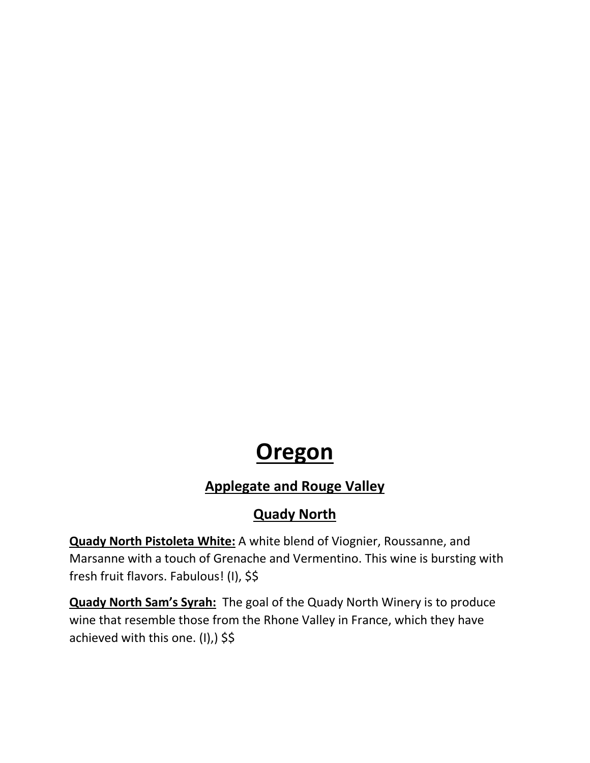# **Oregon**

# **Applegate and Rouge Valley**

## **Quady North**

**Quady North Pistoleta White:** A white blend of Viognier, Roussanne, and Marsanne with a touch of Grenache and Vermentino. This wine is bursting with fresh fruit flavors. Fabulous! (I), \$\$

**Quady North Sam's Syrah:** The goal of the Quady North Winery is to produce wine that resemble those from the Rhone Valley in France, which they have achieved with this one. (I),) \$\$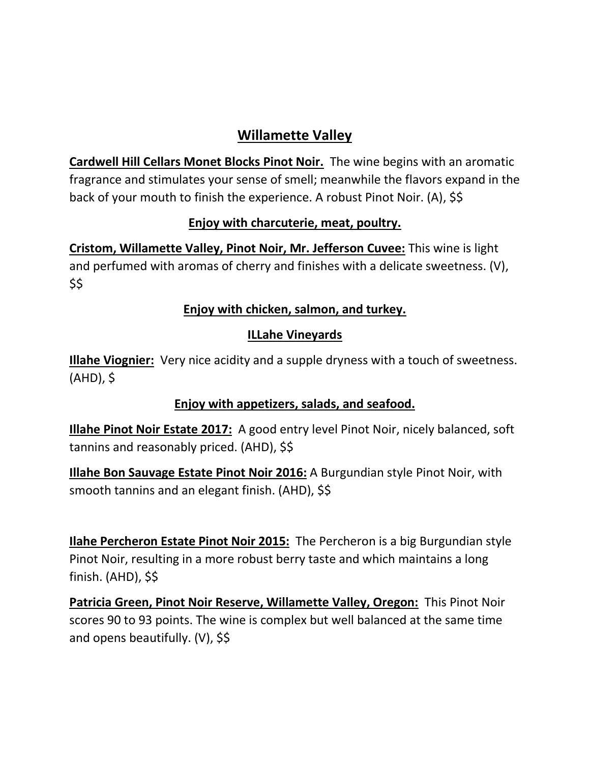## **Willamette Valley**

**Cardwell Hill Cellars Monet Blocks Pinot Noir.** The wine begins with an aromatic fragrance and stimulates your sense of smell; meanwhile the flavors expand in the back of your mouth to finish the experience. A robust Pinot Noir. (A), \$\$

#### **Enjoy with charcuterie, meat, poultry.**

**Cristom, Willamette Valley, Pinot Noir, Mr. Jefferson Cuvee:** This wine is light and perfumed with aromas of cherry and finishes with a delicate sweetness. (V), \$\$

#### **Enjoy with chicken, salmon, and turkey.**

#### **ILLahe Vineyards**

**Illahe Viognier:** Very nice acidity and a supple dryness with a touch of sweetness. (AHD), \$

#### **Enjoy with appetizers, salads, and seafood.**

**Illahe Pinot Noir Estate 2017:** A good entry level Pinot Noir, nicely balanced, soft tannins and reasonably priced. (AHD), \$\$

**Illahe Bon Sauvage Estate Pinot Noir 2016:** A Burgundian style Pinot Noir, with smooth tannins and an elegant finish. (AHD), \$\$

**Ilahe Percheron Estate Pinot Noir 2015:** The Percheron is a big Burgundian style Pinot Noir, resulting in a more robust berry taste and which maintains a long finish. (AHD), \$\$

**Patricia Green, Pinot Noir Reserve, Willamette Valley, Oregon:** This Pinot Noir scores 90 to 93 points. The wine is complex but well balanced at the same time and opens beautifully. (V), \$\$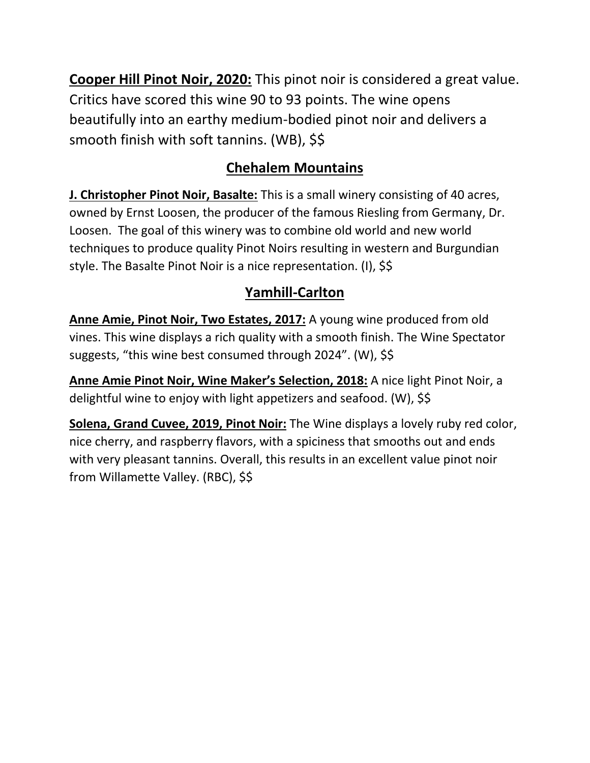**Cooper Hill Pinot Noir, 2020:** This pinot noir is considered a great value. Critics have scored this wine 90 to 93 points. The wine opens beautifully into an earthy medium-bodied pinot noir and delivers a smooth finish with soft tannins. (WB), \$\$

# **Chehalem Mountains**

**J. Christopher Pinot Noir, Basalte:** This is a small winery consisting of 40 acres, owned by Ernst Loosen, the producer of the famous Riesling from Germany, Dr. Loosen. The goal of this winery was to combine old world and new world techniques to produce quality Pinot Noirs resulting in western and Burgundian style. The Basalte Pinot Noir is a nice representation. (I), \$\$

# **Yamhill-Carlton**

**Anne Amie, Pinot Noir, Two Estates, 2017:** A young wine produced from old vines. This wine displays a rich quality with a smooth finish. The Wine Spectator suggests, "this wine best consumed through 2024". (W), \$\$

**Anne Amie Pinot Noir, Wine Maker's Selection, 2018:** A nice light Pinot Noir, a delightful wine to enjoy with light appetizers and seafood. (W), \$\$

**Solena, Grand Cuvee, 2019, Pinot Noir:** The Wine displays a lovely ruby red color, nice cherry, and raspberry flavors, with a spiciness that smooths out and ends with very pleasant tannins. Overall, this results in an excellent value pinot noir from Willamette Valley. (RBC), \$\$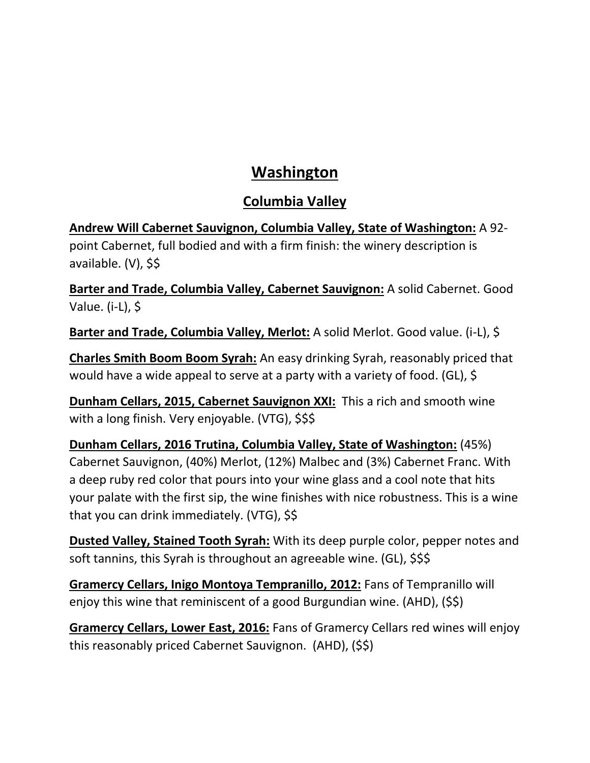# **Washington**

## **Columbia Valley**

**Andrew Will Cabernet Sauvignon, Columbia Valley, State of Washington:** A 92 point Cabernet, full bodied and with a firm finish: the winery description is available. (V), \$\$

**Barter and Trade, Columbia Valley, Cabernet Sauvignon:** A solid Cabernet. Good Value. (i-L), \$

**Barter and Trade, Columbia Valley, Merlot:** A solid Merlot. Good value. (i-L), \$

**Charles Smith Boom Boom Syrah:** An easy drinking Syrah, reasonably priced that would have a wide appeal to serve at a party with a variety of food. (GL), \$

**Dunham Cellars, 2015, Cabernet Sauvignon XXI:** This a rich and smooth wine with a long finish. Very enjoyable. (VTG), \$\$\$

**Dunham Cellars, 2016 Trutina, Columbia Valley, State of Washington:** (45%) Cabernet Sauvignon, (40%) Merlot, (12%) Malbec and (3%) Cabernet Franc. With a deep ruby red color that pours into your wine glass and a cool note that hits your palate with the first sip, the wine finishes with nice robustness. This is a wine that you can drink immediately. (VTG), \$\$

**Dusted Valley, Stained Tooth Syrah:** With its deep purple color, pepper notes and soft tannins, this Syrah is throughout an agreeable wine. (GL), \$\$\$

**Gramercy Cellars, Inigo Montoya Tempranillo, 2012:** Fans of Tempranillo will enjoy this wine that reminiscent of a good Burgundian wine. (AHD), (\$\$)

**Gramercy Cellars, Lower East, 2016:** Fans of Gramercy Cellars red wines will enjoy this reasonably priced Cabernet Sauvignon. (AHD), (\$\$)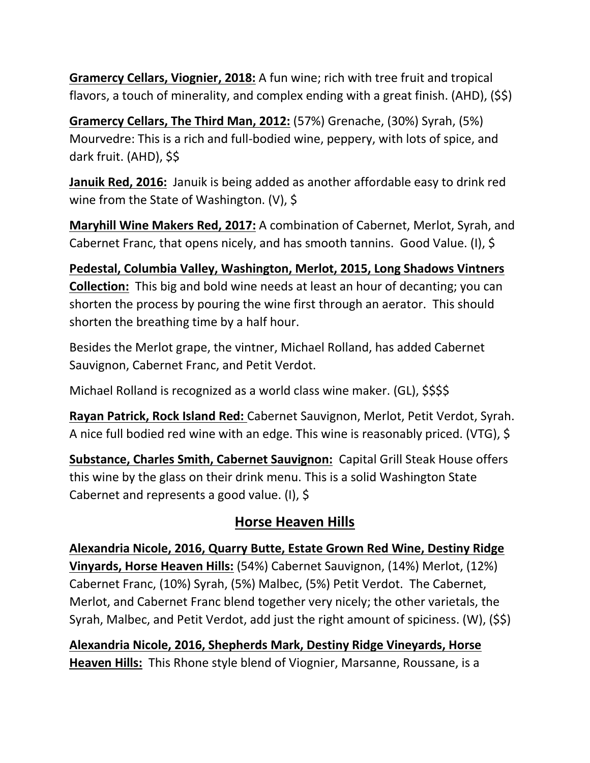**Gramercy Cellars, Viognier, 2018:** A fun wine; rich with tree fruit and tropical flavors, a touch of minerality, and complex ending with a great finish. (AHD), (\$\$)

**Gramercy Cellars, The Third Man, 2012:** (57%) Grenache, (30%) Syrah, (5%) Mourvedre: This is a rich and full-bodied wine, peppery, with lots of spice, and dark fruit. (AHD), \$\$

**Januik Red, 2016:** Januik is being added as another affordable easy to drink red wine from the State of Washington. (V), \$

**Maryhill Wine Makers Red, 2017:** A combination of Cabernet, Merlot, Syrah, and Cabernet Franc, that opens nicely, and has smooth tannins. Good Value. (I), \$

**Pedestal, Columbia Valley, Washington, Merlot, 2015, Long Shadows Vintners Collection:** This big and bold wine needs at least an hour of decanting; you can shorten the process by pouring the wine first through an aerator. This should shorten the breathing time by a half hour.

Besides the Merlot grape, the vintner, Michael Rolland, has added Cabernet Sauvignon, Cabernet Franc, and Petit Verdot.

Michael Rolland is recognized as a world class wine maker. (GL), \$\$\$\$

**Rayan Patrick, Rock Island Red:** Cabernet Sauvignon, Merlot, Petit Verdot, Syrah. A nice full bodied red wine with an edge. This wine is reasonably priced. (VTG), \$

**Substance, Charles Smith, Cabernet Sauvignon:** Capital Grill Steak House offers this wine by the glass on their drink menu. This is a solid Washington State Cabernet and represents a good value. (I), \$

#### **Horse Heaven Hills**

**Alexandria Nicole, 2016, Quarry Butte, Estate Grown Red Wine, Destiny Ridge Vinyards, Horse Heaven Hills:** (54%) Cabernet Sauvignon, (14%) Merlot, (12%) Cabernet Franc, (10%) Syrah, (5%) Malbec, (5%) Petit Verdot. The Cabernet, Merlot, and Cabernet Franc blend together very nicely; the other varietals, the Syrah, Malbec, and Petit Verdot, add just the right amount of spiciness. (W), (\$\$)

**Alexandria Nicole, 2016, Shepherds Mark, Destiny Ridge Vineyards, Horse Heaven Hills:** This Rhone style blend of Viognier, Marsanne, Roussane, is a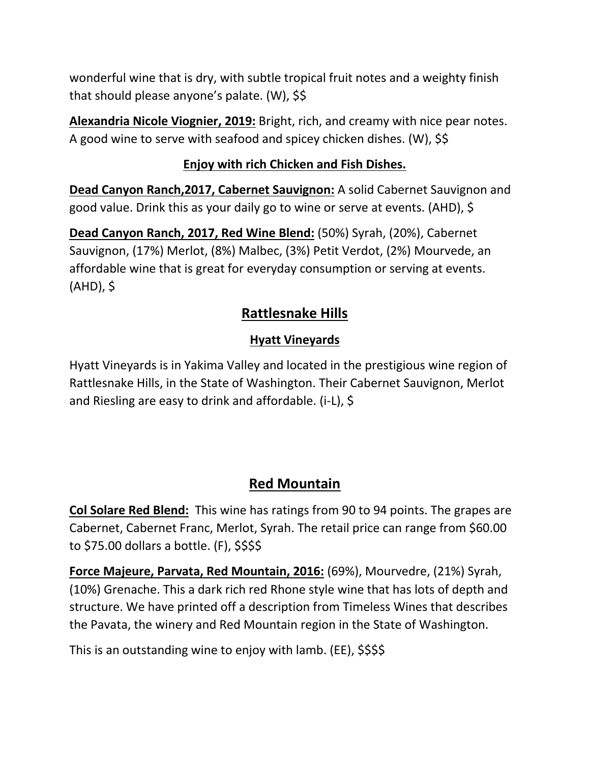wonderful wine that is dry, with subtle tropical fruit notes and a weighty finish that should please anyone's palate. (W), \$\$

**Alexandria Nicole Viognier, 2019:** Bright, rich, and creamy with nice pear notes. A good wine to serve with seafood and spicey chicken dishes. (W), \$\$

#### **Enjoy with rich Chicken and Fish Dishes.**

**Dead Canyon Ranch,2017, Cabernet Sauvignon:** A solid Cabernet Sauvignon and good value. Drink this as your daily go to wine or serve at events. (AHD), \$

**Dead Canyon Ranch, 2017, Red Wine Blend:** (50%) Syrah, (20%), Cabernet Sauvignon, (17%) Merlot, (8%) Malbec, (3%) Petit Verdot, (2%) Mourvede, an affordable wine that is great for everyday consumption or serving at events. (AHD), \$

## **Rattlesnake Hills**

### **Hyatt Vineyards**

Hyatt Vineyards is in Yakima Valley and located in the prestigious wine region of Rattlesnake Hills, in the State of Washington. Their Cabernet Sauvignon, Merlot and Riesling are easy to drink and affordable. (i-L), \$

## **Red Mountain**

**Col Solare Red Blend:** This wine has ratings from 90 to 94 points. The grapes are Cabernet, Cabernet Franc, Merlot, Syrah. The retail price can range from \$60.00 to \$75.00 dollars a bottle. (F), \$\$\$\$

**Force Majeure, Parvata, Red Mountain, 2016:** (69%), Mourvedre, (21%) Syrah, (10%) Grenache. This a dark rich red Rhone style wine that has lots of depth and structure. We have printed off a description from Timeless Wines that describes the Pavata, the winery and Red Mountain region in the State of Washington.

This is an outstanding wine to enjoy with lamb. (EE), \$\$\$\$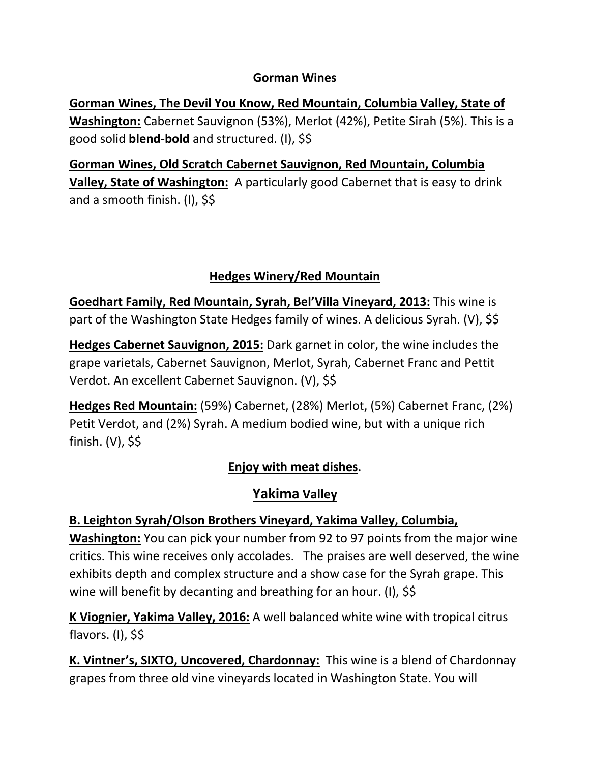#### **Gorman Wines**

**Gorman Wines, The Devil You Know, Red Mountain, Columbia Valley, State of Washington:** Cabernet Sauvignon (53%), Merlot (42%), Petite Sirah (5%). This is a good solid **blend-bold** and structured. (I), \$\$

**Gorman Wines, Old Scratch Cabernet Sauvignon, Red Mountain, Columbia Valley, State of Washington:** A particularly good Cabernet that is easy to drink and a smooth finish. (I), \$\$

#### **Hedges Winery/Red Mountain**

**Goedhart Family, Red Mountain, Syrah, Bel'Villa Vineyard, 2013:** This wine is part of the Washington State Hedges family of wines. A delicious Syrah. (V), \$\$

**Hedges Cabernet Sauvignon, 2015:** Dark garnet in color, the wine includes the grape varietals, Cabernet Sauvignon, Merlot, Syrah, Cabernet Franc and Pettit Verdot. An excellent Cabernet Sauvignon. (V), \$\$

**Hedges Red Mountain:** (59%) Cabernet, (28%) Merlot, (5%) Cabernet Franc, (2%) Petit Verdot, and (2%) Syrah. A medium bodied wine, but with a unique rich finish. (V), \$\$

#### **Enjoy with meat dishes**.

#### **Yakima Valley**

#### **B. Leighton Syrah/Olson Brothers Vineyard, Yakima Valley, Columbia,**

**Washington:** You can pick your number from 92 to 97 points from the major wine critics. This wine receives only accolades. The praises are well deserved, the wine exhibits depth and complex structure and a show case for the Syrah grape. This wine will benefit by decanting and breathing for an hour. (I), \$\$

**K Viognier, Yakima Valley, 2016:** A well balanced white wine with tropical citrus flavors. (I), \$\$

**K. Vintner's, SIXTO, Uncovered, Chardonnay:** This wine is a blend of Chardonnay grapes from three old vine vineyards located in Washington State. You will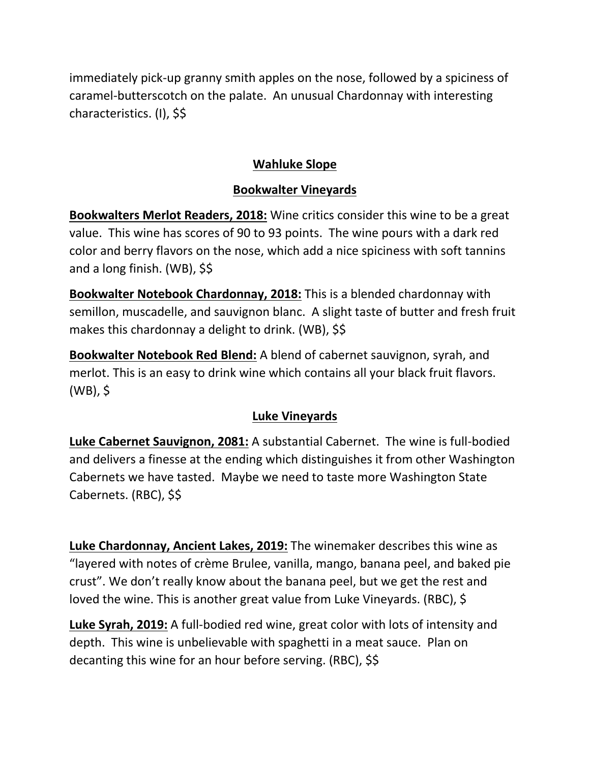immediately pick-up granny smith apples on the nose, followed by a spiciness of caramel-butterscotch on the palate. An unusual Chardonnay with interesting characteristics. (I), \$\$

#### **Wahluke Slope**

#### **Bookwalter Vineyards**

**Bookwalters Merlot Readers, 2018:** Wine critics consider this wine to be a great value. This wine has scores of 90 to 93 points. The wine pours with a dark red color and berry flavors on the nose, which add a nice spiciness with soft tannins and a long finish. (WB), \$\$

**Bookwalter Notebook Chardonnay, 2018:** This is a blended chardonnay with semillon, muscadelle, and sauvignon blanc. A slight taste of butter and fresh fruit makes this chardonnay a delight to drink. (WB), \$\$

**Bookwalter Notebook Red Blend:** A blend of cabernet sauvignon, syrah, and merlot. This is an easy to drink wine which contains all your black fruit flavors. (WB), \$

#### **Luke Vineyards**

**Luke Cabernet Sauvignon, 2081:** A substantial Cabernet. The wine is full-bodied and delivers a finesse at the ending which distinguishes it from other Washington Cabernets we have tasted. Maybe we need to taste more Washington State Cabernets. (RBC), \$\$

**Luke Chardonnay, Ancient Lakes, 2019:** The winemaker describes this wine as "layered with notes of crème Brulee, vanilla, mango, banana peel, and baked pie crust". We don't really know about the banana peel, but we get the rest and loved the wine. This is another great value from Luke Vineyards. (RBC), \$

**Luke Syrah, 2019:** A full-bodied red wine, great color with lots of intensity and depth. This wine is unbelievable with spaghetti in a meat sauce. Plan on decanting this wine for an hour before serving. (RBC), \$\$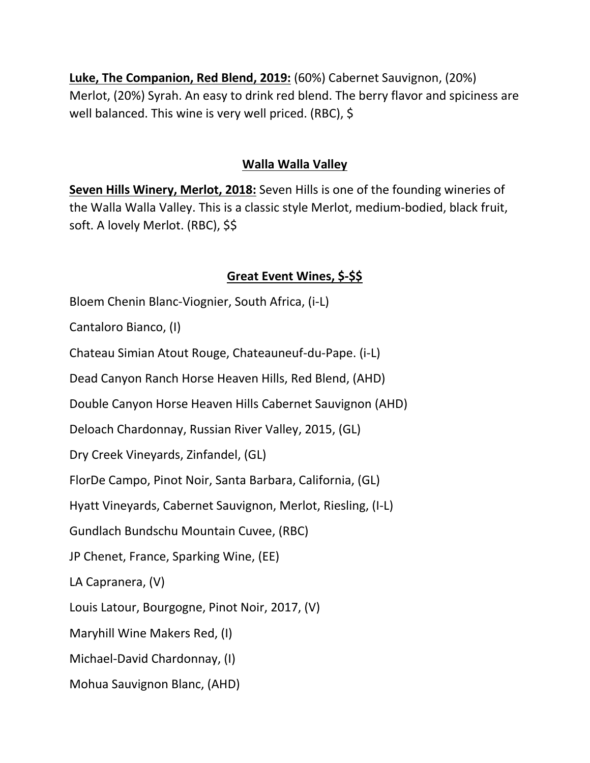**Luke, The Companion, Red Blend, 2019:** (60%) Cabernet Sauvignon, (20%) Merlot, (20%) Syrah. An easy to drink red blend. The berry flavor and spiciness are well balanced. This wine is very well priced. (RBC), \$

#### **Walla Walla Valley**

**Seven Hills Winery, Merlot, 2018:** Seven Hills is one of the founding wineries of the Walla Walla Valley. This is a classic style Merlot, medium-bodied, black fruit, soft. A lovely Merlot. (RBC), \$\$

#### **Great Event Wines, \$-\$\$**

Bloem Chenin Blanc-Viognier, South Africa, (i-L)

Cantaloro Bianco, (I)

Chateau Simian Atout Rouge, Chateauneuf-du-Pape. (i-L)

Dead Canyon Ranch Horse Heaven Hills, Red Blend, (AHD)

Double Canyon Horse Heaven Hills Cabernet Sauvignon (AHD)

Deloach Chardonnay, Russian River Valley, 2015, (GL)

Dry Creek Vineyards, Zinfandel, (GL)

FlorDe Campo, Pinot Noir, Santa Barbara, California, (GL)

Hyatt Vineyards, Cabernet Sauvignon, Merlot, Riesling, (I-L)

Gundlach Bundschu Mountain Cuvee, (RBC)

JP Chenet, France, Sparking Wine, (EE)

LA Capranera, (V)

Louis Latour, Bourgogne, Pinot Noir, 2017, (V)

Maryhill Wine Makers Red, (I)

Michael-David Chardonnay, (I)

Mohua Sauvignon Blanc, (AHD)